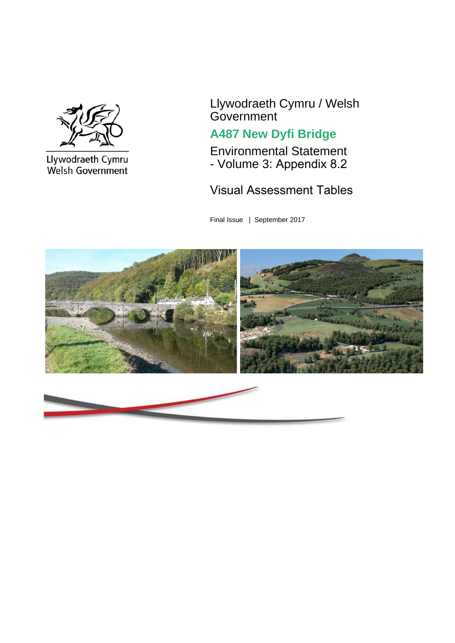

Llywodraeth Cymru<br>Welsh Government

Llywodraeth Cymru / Welsh **Government** 

# **A487 New Dyfi Bridge**

Environmental Statement - Volume 3: Appendix 8.2

Visual Assessment Tables

Final Issue | September 2017

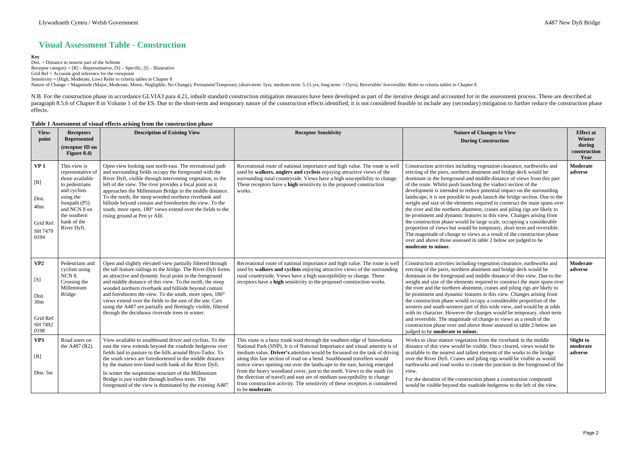Dist. = Distance to nearest part of the Scheme Receptor category =  $[R]$  – Representative,  $[S]$  – Specific,  $[I]$  – Illustrative Grid Ref = Accurate grid reference for the viewpoint Sensitivity = (High, Moderate, Low) Refer to criteria tables in Chapter 8 Nature of Change = Magnitude (Major, Moderate, Minor, Negligible, No Change), Permanent/Temporary (short-term: 5yrs, medium term: 5-15 yrs, long term: >15yrs), Reversible/ Irreversible. Refer to criteria tables in Chapter

## **Visual Assessment Table - Construction**

### **Key**

N.B. For the construction phase in accordance GLVIA3 para 4.21, inbuilt standard construction mitigation measures have been developed as part of the iterative design and accounted for in the assessment process. These are d paragraph 8.5.6 of Chapter 8 in Volume 1 of the ES. Due to the short-term and temporary nature of the construction effects identified, it is not considered feasible to include any (secondary) mitigation to further reduce t effects.

### **Table 1 Assessment of visual effects arising from the construction phase**

| View-<br>point                                                                     | <b>Receptors</b><br>Represented<br>(receptor ID on<br>Figure 8.4)                                                                                                                  | <b>Description of Existing View</b>                                                                                                                                                                                                                                                                                                                                                                                                                                                                                                                        | <b>Receptor Sensitivity</b>                                                                                                                                                                                                                                                                                                                                                                                                                                                                                                                                                                                                                       | <b>Nature of Changes to View</b><br><b>During Construction</b>                                                                                                                                                                                                                                                                                                                                                                                                                                                                                                                                                                                                                                                                                                                                                                                                                                                                                                                                          | <b>Effect at</b><br>Winter<br>during<br>construction<br>Year |
|------------------------------------------------------------------------------------|------------------------------------------------------------------------------------------------------------------------------------------------------------------------------------|------------------------------------------------------------------------------------------------------------------------------------------------------------------------------------------------------------------------------------------------------------------------------------------------------------------------------------------------------------------------------------------------------------------------------------------------------------------------------------------------------------------------------------------------------------|---------------------------------------------------------------------------------------------------------------------------------------------------------------------------------------------------------------------------------------------------------------------------------------------------------------------------------------------------------------------------------------------------------------------------------------------------------------------------------------------------------------------------------------------------------------------------------------------------------------------------------------------------|---------------------------------------------------------------------------------------------------------------------------------------------------------------------------------------------------------------------------------------------------------------------------------------------------------------------------------------------------------------------------------------------------------------------------------------------------------------------------------------------------------------------------------------------------------------------------------------------------------------------------------------------------------------------------------------------------------------------------------------------------------------------------------------------------------------------------------------------------------------------------------------------------------------------------------------------------------------------------------------------------------|--------------------------------------------------------------|
| VP <sub>1</sub><br>[R]<br>Dist.<br>40 <sub>m</sub><br>Grid Ref:<br>SH 7479<br>0194 | This view is<br>representative of<br>those available<br>to pedestrians<br>and cyclists<br>using the<br>footpath (P5)<br>and NCN 8 on<br>the southern<br>bank of the<br>River Dyfi. | Open view looking east north-east. The recreational path<br>and surrounding fields occupy the foreground with the<br>River Dyfi, visible through intervening vegetation, to the<br>left of the view. The river provides a focal point as it<br>approaches the Millennium Bridge in the middle distance.<br>To the north, the steep wooded northern riverbank and<br>hillside beyond contain and foreshorten the view. To the<br>south, more open, 180° views extend over the fields to the<br>rising ground at Pen yr Allt.                                | Recreational route of national importance and high value. The route is well<br>used by walkers, anglers and cyclists enjoying attractive views of the<br>surrounding rural countryside. Views have a high susceptibility to change.<br>These receptors have a high sensitivity to the proposed construction<br>works.                                                                                                                                                                                                                                                                                                                             | Construction activities including vegetation clearance, earthworks and<br>erecting of the piers, northern abutment and bridge deck would be<br>dominant in the foreground and middle distance of views from this part<br>of the route. Whilst push launching the viaduct section of the<br>development is intended to reduce potential impact on the surrounding<br>landscape, it is not possible to push launch the bridge section. Due to the<br>weight and size of the elements required to construct the main spans over<br>the river and the northern abutment, cranes and piling rigs are likely to<br>be prominent and dynamic features in this view. Changes arising from<br>the construction phase would be large scale, occupying a considerable<br>proportion of views but would be temporary, short term and reversible.<br>The magnitude of change to views as a result of the construction phase<br>over and above those assessed in table 2 below are judged to be<br>moderate to minor. | Moderate<br>adverse                                          |
| VP2<br>[S]<br>Dist.<br>30 <sub>m</sub><br>Grid Ref:<br>SH 7492<br>0198             | Pedestrians and<br>cyclists using<br>NCN 8.<br>Crossing the<br>Millennium<br>Bridge.                                                                                               | Open and slightly elevated view partially filtered through<br>the tall feature railings to the bridge. The River Dyfi forms<br>an attractive and dynamic focal point in the foreground<br>and middle distance of this view. To the north, the steep<br>wooded northern riverbank and hillside beyond contain<br>and foreshorten the view. To the south, more open, 180°<br>views extend over the fields to the east of the site. Cars<br>using the A487 are partially and fleetingly visible, filtered<br>through the deciduous riverside trees in winter. | Recreational route of national importance and high value. The route is well<br>used by walkers and cyclists enjoying attractive views of the surrounding<br>rural countryside. Views have a high susceptibility to change. These<br>receptors have a high sensitivity to the proposed construction works.                                                                                                                                                                                                                                                                                                                                         | Construction activities including vegetation clearance, earthworks and<br>erecting of the piers, northern abutment and bridge deck would be<br>dominant in the foreground and middle distance of this view. Due to the<br>weight and size of the elements required to construct the main spans over<br>the river and the northern abutment, cranes and piling rigs are likely to<br>be prominent and dynamic features in this view. Changes arising from<br>the construction phase would occupy a considerable proportion of the<br>western and south-western part of this wide view, and would be at odds<br>with its character. However the changes would be temporary, short term<br>and reversible. The magnitude of change to views as a result of the<br>construction phase over and above those assessed in table 2 below are<br>judged to be moderate to minor.                                                                                                                                 | <b>Moderate</b><br>adverse                                   |
| VP3<br>[R]<br>Dist. 5m                                                             | Road users on<br>the A487 (R2).                                                                                                                                                    | View available to southbound driver and cyclists. To the<br>east the view extends beyond the roadside hedgerow over<br>fields laid to pasture to the hills around Bryn-Tudor. To<br>the south views are foreshortened in the middle distance<br>by the mature tree-lined north bank of the River Dyfi.<br>In winter the suspension structure of the Millennium<br>Bridge is just visible through leafless trees. The<br>foreground of the view is dominated by the existing A487                                                                           | This route is a busy trunk road through the southern edge of Snowdonia<br>National Park (SNP). It is of National Importance and visual amenity is of<br>medium value. Driver's attention would be focussed on the task of driving<br>along this fast section of road on a bend. Southbound travellers would<br>notice views opening out over the landscape to the east, having emerged<br>from the heavy woodland cover, just to the north. Views to the south (in<br>the direction of travel) and east are of medium susceptibility to change<br>from construction activity. The sensitivity of these receptors is considered<br>to be moderate. | Works to clear mature vegetation from the riverbank in the middle<br>distance of this view would be visible. Once cleared, views would be<br>available to the nearest and tallest element of the works to the bridge<br>over the River Dyfi. Cranes and piling rigs would be visible as would<br>earthworks and road works to create the junction in the foreground of the<br>view.<br>For the duration of the construction phase a construction compound<br>would be visible beyond the roadside hedgerow to the left of the view.                                                                                                                                                                                                                                                                                                                                                                                                                                                                     | Slight to<br>moderate<br>adverse                             |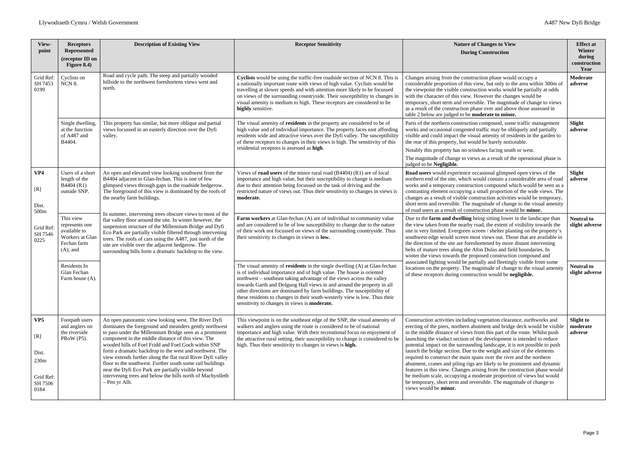| View-<br>point                                                                      | <b>Receptors</b><br><b>Represented</b><br>(receptor ID on<br>Figure 8.4)                                                                                                                                                                                                                                                                                                                                                                                                                                                                                                                                                                                                                                                                                                                                                                                        | <b>Description of Existing View</b>                                                                                                                                                                                                                                                                                                                                                                                                                                                                                                                                                                                 | <b>Receptor Sensitivity</b>                                                                                                                                                                                                                                                                                                                                                                                                                                                                                                        | <b>Nature of Changes to View</b><br><b>During Construction</b>                                                                                                                                                                                                                                                                                                                                                                                                                                                                                                                                                                                                                                                                                                                                                                                                        | <b>Effect at</b><br>Winter<br>during<br>construction<br>Year |
|-------------------------------------------------------------------------------------|-----------------------------------------------------------------------------------------------------------------------------------------------------------------------------------------------------------------------------------------------------------------------------------------------------------------------------------------------------------------------------------------------------------------------------------------------------------------------------------------------------------------------------------------------------------------------------------------------------------------------------------------------------------------------------------------------------------------------------------------------------------------------------------------------------------------------------------------------------------------|---------------------------------------------------------------------------------------------------------------------------------------------------------------------------------------------------------------------------------------------------------------------------------------------------------------------------------------------------------------------------------------------------------------------------------------------------------------------------------------------------------------------------------------------------------------------------------------------------------------------|------------------------------------------------------------------------------------------------------------------------------------------------------------------------------------------------------------------------------------------------------------------------------------------------------------------------------------------------------------------------------------------------------------------------------------------------------------------------------------------------------------------------------------|-----------------------------------------------------------------------------------------------------------------------------------------------------------------------------------------------------------------------------------------------------------------------------------------------------------------------------------------------------------------------------------------------------------------------------------------------------------------------------------------------------------------------------------------------------------------------------------------------------------------------------------------------------------------------------------------------------------------------------------------------------------------------------------------------------------------------------------------------------------------------|--------------------------------------------------------------|
| Grid Ref:<br>SH 7453<br>0199                                                        | Cyclists on<br><b>NCN 8.</b>                                                                                                                                                                                                                                                                                                                                                                                                                                                                                                                                                                                                                                                                                                                                                                                                                                    | Road and cycle path. The steep and partially wooded<br>hillside to the northwest foreshortens views west and<br>north.                                                                                                                                                                                                                                                                                                                                                                                                                                                                                              | Cyclists would be using the traffic-free roadside section of NCN 8. This is<br>a nationally important route with views of high value. Cyclists would be<br>travelling at slower speeds and with attention more likely to be focussed<br>on views of the surrounding countryside. Their susceptibility to changes in<br>visual amenity is medium to high. These receptors are considered to be<br>highly sensitive.                                                                                                                 | Changes arising from the construction phase would occupy a<br>considerable proportion of this view, but only to the area within 300m of<br>the viewpoint the visible construction works would be partially at odds<br>with the character of this view. However the changes would be<br>temporary, short term and reversible. The magnitude of change to views<br>as a result of the construction phase over and above those assessed in<br>table 2 below are judged to be <b>moderate to minor.</b>                                                                                                                                                                                                                                                                                                                                                                   | Moderate<br>adverse                                          |
|                                                                                     | Single dwelling,<br>at the Junction<br>of A487 and<br>B4404.                                                                                                                                                                                                                                                                                                                                                                                                                                                                                                                                                                                                                                                                                                                                                                                                    | This property has similar, but more oblique and partial<br>views focussed in an easterly direction over the Dyfi<br>valley.                                                                                                                                                                                                                                                                                                                                                                                                                                                                                         | The visual amenity of residents in the property are considered to be of<br>high value and of individual importance. The property faces east affording<br>residents wide and attractive views over the Dyfi valley. The susceptibility<br>of these receptors to changes in their views is high. The sensitivity of this<br>residential receptors is assessed as high.                                                                                                                                                               | Parts of the northern construction compound, some traffic management<br>works and occasional congested traffic may be obliquely and partially<br>visible and could impact the visual amenity of residents in the garden to<br>the rear of this property, but would be barely noticeable.<br>Notably this property has no windows facing south or west.<br>The magnitude of change to views as a result of the operational phase is<br>judged to be Negligible.                                                                                                                                                                                                                                                                                                                                                                                                        | Slight<br>adverse                                            |
| VP4<br>[R]<br>Dist.<br>500m                                                         | Users of a short<br>An open and elevated view looking southwest from the<br>length of the<br>B4404 adjacent to Glan-fechan. This is one of few<br>B4404 (R1)<br>glimpsed views through gaps in the roadside hedgerow.<br>The foreground of this view is dominated by the roofs of<br>outside SNP.<br>the nearby farm buildings.<br>In summer, intervening trees obscure views to most of the<br>This view<br>flat valley floor around the site. In winter however, the<br>represents one<br>suspension structure of the Millennium Bridge and Dyfi<br>available to<br>Eco Park are partially visible filtered through intervening<br>Workers at Glan<br>trees. The roofs of cars using the A487, just north of the<br>Fechan farm<br>site are visible over the adjacent hedgerow. The<br>$(A)$ ; and<br>surrounding hills form a dramatic backdrop to the view. |                                                                                                                                                                                                                                                                                                                                                                                                                                                                                                                                                                                                                     | Views of <b>road users</b> of the minor rural road (B4404) (R1) are of local<br>importance and high value, but their susceptibility to change is medium<br>due to their attention being focussed on the task of driving and the<br>restricted nature of views out. Thus their sensitivity to changes in views is<br>moderate.                                                                                                                                                                                                      | Road users would experience occasional glimpsed open views of the<br>northern end of the site, which would contain a considerable area of road<br>works and a temporary construction compound which would be seen as a<br>contrasting element occupying a small proportion of the wide views. The<br>changes as a result of visible construction activities would be temporary,<br>short term and reversible. The magnitude of change to the visual amenity<br>of road users as a result of construction phase would be <b>minor</b> .                                                                                                                                                                                                                                                                                                                                | Slight<br>adverse                                            |
| Grid Ref:<br>SH 7546<br>0225                                                        |                                                                                                                                                                                                                                                                                                                                                                                                                                                                                                                                                                                                                                                                                                                                                                                                                                                                 | Farm workers at Glan-fechan (A) are of individual to community value<br>and are considered to be of low susceptibility to change due to the nature<br>of their work not focussed on views of the surrounding countryside. Thus<br>their sensitivity to changes in views is low.                                                                                                                                                                                                                                                                                                                                     | Due to the farm and dwelling being sitting lower in the landscape than<br>the view taken from the nearby road, the extent of visibility towards the<br>site is very limited. Evergreen screen / shelter planting on the property's<br>southwest edge would screen most views out. Those that are available in<br>the direction of the site are foreshortened by more distant intervening<br>belts of mature trees along the Afon Dulas and field boundaries. In<br>winter the views towards the proposed construction compound and | <b>Neutral to</b><br>slight adverse                                                                                                                                                                                                                                                                                                                                                                                                                                                                                                                                                                                                                                                                                                                                                                                                                                   |                                                              |
|                                                                                     | Residents In<br>Glan Fechan<br>Farm house (A).                                                                                                                                                                                                                                                                                                                                                                                                                                                                                                                                                                                                                                                                                                                                                                                                                  |                                                                                                                                                                                                                                                                                                                                                                                                                                                                                                                                                                                                                     | The visual amenity of residents in the single dwelling (A) at Glan-fechan<br>is of individual importance and of high value. The house is oriented<br>northwest - southeast taking advantage of the views across the valley<br>towards Garth and Dolguog Hall views in and around the property in all<br>other directions are dominated by farm buildings. The susceptibility of<br>these residents to changes in their south-westerly view is low. Thus their<br>sensitivity to changes in views is <b>moderate.</b>               | associated lighting would be partially and fleetingly visible from some<br>locations on the property. The magnitude of change to the visual amenity<br>of these receptors during construction would be negligible.                                                                                                                                                                                                                                                                                                                                                                                                                                                                                                                                                                                                                                                    | <b>Neutral to</b><br>slight adverse                          |
| VP <sub>5</sub><br>[R]<br>Dist.<br>230 <sub>m</sub><br>Grid Ref:<br>SH 7506<br>0184 | Footpath users<br>and anglers on<br>the riverside<br>PRoW (P5).                                                                                                                                                                                                                                                                                                                                                                                                                                                                                                                                                                                                                                                                                                                                                                                                 | An open panoramic view looking west. The River Dyfi<br>dominates the foreground and meanders gently northwest<br>to pass under the Millennium Bridge seen as a prominent<br>component in the middle distance of this view. The<br>wooded hills of Foel Fridd and Foel Goch within SNP<br>form a dramatic backdrop to the west and northwest. The<br>view extends further along the flat rural River Dyfi valley<br>floor to the southwest. Further south some rail buildings<br>near the Dyfi Eco Park are partially visible beyond<br>intervening trees and below the hills north of Machynlleth<br>- Pen yr Allt. | This viewpoint is on the southeast edge of the SNP, the visual amenity of<br>walkers and anglers using the route is considered to be of national<br>importance and high value. With their recreational focus on enjoyment of<br>the attractive rural setting, their susceptibility to change is considered to be<br>high. Thus their sensitivity to changes in views is high.                                                                                                                                                      | Construction activities including vegetation clearance, earthworks and<br>erecting of the piers, northern abutment and bridge deck would be visible<br>in the middle distance of views from this part of the route. Whilst push<br>launching the viaduct section of the development is intended to reduce<br>potential impact on the surrounding landscape, it is not possible to push<br>launch the bridge section. Due to the weight and size of the elements<br>required to construct the main spans over the river and the northern<br>abutment, cranes and piling rigs are likely to be prominent and dynamic<br>features in this view. Changes arising from the construction phase would<br>be medium scale, occupying a moderate proportion of views but would<br>be temporary, short term and reversible. The magnitude of change to<br>views would be minor. | Slight to<br>moderate<br>adverse                             |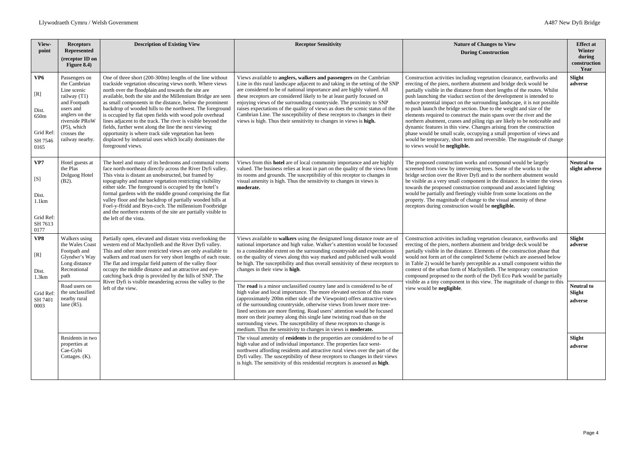| View-<br>point                                                          | <b>Receptors</b><br><b>Represented</b><br>(receptor ID on<br>Figure 8.4)                                                                                                          | <b>Description of Existing View</b>                                                                                                                                                                                                                                                                                                                                                                                                                                                                                                                                                                                                                                                           | <b>Receptor Sensitivity</b>                                                                                                                                                                                                                                                                                                                                                                                                                                                                                                                                                                                                                                                                                                                                                                                                 | <b>Nature of Changes to View</b><br><b>During Construction</b>                                                                                                                                                                                                                                                                                                                                                                                                                                                                                                                                                                                                                                                                                                                                                                                                         | <b>Effect at</b><br>Winter<br>during<br>construction<br>Year |
|-------------------------------------------------------------------------|-----------------------------------------------------------------------------------------------------------------------------------------------------------------------------------|-----------------------------------------------------------------------------------------------------------------------------------------------------------------------------------------------------------------------------------------------------------------------------------------------------------------------------------------------------------------------------------------------------------------------------------------------------------------------------------------------------------------------------------------------------------------------------------------------------------------------------------------------------------------------------------------------|-----------------------------------------------------------------------------------------------------------------------------------------------------------------------------------------------------------------------------------------------------------------------------------------------------------------------------------------------------------------------------------------------------------------------------------------------------------------------------------------------------------------------------------------------------------------------------------------------------------------------------------------------------------------------------------------------------------------------------------------------------------------------------------------------------------------------------|------------------------------------------------------------------------------------------------------------------------------------------------------------------------------------------------------------------------------------------------------------------------------------------------------------------------------------------------------------------------------------------------------------------------------------------------------------------------------------------------------------------------------------------------------------------------------------------------------------------------------------------------------------------------------------------------------------------------------------------------------------------------------------------------------------------------------------------------------------------------|--------------------------------------------------------------|
| VP <sub>6</sub><br>[R]<br>Dist.<br>650m<br>Grid Ref:<br>SH 7546<br>0165 | Passengers on<br>the Cambrian<br>Line scenic<br>railway (T1)<br>and Footpath<br>users and<br>anglers on the<br>riverside PRoW<br>$(P5)$ , which<br>crosses the<br>railway nearby. | One of three short (200-300m) lengths of the line without<br>trackside vegetation obscuring views north. Where views<br>north over the floodplain and towards the site are<br>available, both the site and the Millennium Bridge are seen<br>as small components in the distance, below the prominent<br>backdrop of wooded hills to the northwest. The foreground<br>is occupied by flat open fields with wood pole overhead<br>lines adjacent to the track. The river is visible beyond the<br>fields, further west along the line the next viewing<br>opportunity is where track side vegetation has been<br>displaced by industrial uses which locally dominates the<br>foreground views. | Views available to anglers, walkers and passengers on the Cambrian<br>Line in this rural landscape adjacent to and taking in the setting of the SNP<br>are considered to be of national importance and are highly valued. All<br>these receptors are considered likely to be at least partly focused on<br>enjoying views of the surrounding countryside. The proximity to SNP<br>raises expectations of the quality of views as does the scenic status of the<br>Cambrian Line. The susceptibility of these receptors to changes in their<br>views is high. Thus their sensitivity to changes in views is high.                                                                                                                                                                                                            | Construction activities including vegetation clearance, earthworks and<br>erecting of the piers, northern abutment and bridge deck would be<br>partially visible in the distance from short lengths of the routes. Whilst<br>push launching the viaduct section of the development is intended to<br>reduce potential impact on the surrounding landscape, it is not possible<br>to push launch the bridge section. Due to the weight and size of the<br>elements required to construct the main spans over the river and the<br>northern abutment, cranes and piling rigs are likely to be noticeable and<br>dynamic features in this view. Changes arising from the construction<br>phase would be small scale, occupying a small proportion of views and<br>would be temporary, short term and reversible. The magnitude of change<br>to views would be negligible. | Slight<br>adverse                                            |
| VP7<br>[S]<br>Dist.<br>1.1km<br>Grid Ref:<br>SH 7613<br>0177            | Hotel guests at<br>the Plas<br>Dolguog Hotel<br>$(B2)$ .                                                                                                                          | The hotel and many of its bedrooms and communal rooms<br>face north-northeast directly across the River Dyfi valley.<br>This vista is distant an unobstructed, but framed by<br>topography and mature vegetation restricting visibility<br>either side. The foreground is occupied by the hotel's<br>formal gardens with the middle ground comprising the flat<br>valley floor and the backdrop of partially wooded hills at<br>Foel-y-ffridd and Bryn-coch. The millennium Footbridge<br>and the northern extents of the site are partially visible to<br>the left of the vista.                                                                                                             | Views from this hotel are of local community importance and are highly<br>valued. The business relies at least in part on the quality of the views from<br>its rooms and grounds. The susceptibility of this receptor to changes in<br>visual amenity is high. Thus the sensitivity to changes in views is<br>moderate.                                                                                                                                                                                                                                                                                                                                                                                                                                                                                                     | The proposed construction works and compound would be largely<br>screened from view by intervening trees. Some of the works to the<br>bridge section over the River Dyfi and to the northern abutment would<br>be visible as a very small component in the distance. In winter the views<br>towards the proposed construction compound and associated lighting<br>would be partially and fleetingly visible from some locations on the<br>property. The magnitude of change to the visual amenity of these<br>receptors during construction would be negligible.                                                                                                                                                                                                                                                                                                       | <b>Neutral to</b><br>slight adverse                          |
| VP8<br>[R]<br>Dist.<br>1.3km<br>Grid Ref:<br>SH 7401<br>0003            | Walkers using<br>the Wales Coast<br>Footpath and<br>Glyndwr's Way<br>Long distance<br>Recreational<br>path<br>Road users on<br>the unclassified<br>nearby rural<br>lane $(R5)$ .  | Partially open, elevated and distant vista overlooking the<br>western end of Machynlleth and the River Dyfi valley.<br>This and other more restricted views are only available to<br>walkers and road users for very short lengths of each route.<br>The flat and irregular field pattern of the valley floor<br>occupy the middle distance and an attractive and eye-<br>catching back drop is provided by the hills of SNP. The<br>River Dyfi is visible meandering across the valley to the<br>left of the view.                                                                                                                                                                           | Views available to walkers using the designated long distance route are of<br>national importance and high value. Walker's attention would be focussed<br>to a considerable extent on the surrounding countryside and expectations<br>on the quality of views along this way marked and publicised walk would<br>be high. The susceptibility and thus overall sensitivity of these receptors to<br>changes in their view is high.<br>The road is a minor unclassified country lane and is considered to be of<br>high value and local importance. The more elevated section of this route<br>(approximately 200m either side of the Viewpoint) offers attractive views<br>of the surrounding countryside, otherwise views from lower more tree-<br>lined sections are more fleeting. Road users' attention would be focused | Construction activities including vegetation clearance, earthworks and<br>erecting of the piers, northern abutment and bridge deck would be<br>partially visible in the distance. Elements of the construction phase that<br>would not form art of the completed Scheme (which are assessed below<br>in Table 2) would be barely perceptible as a small component within the<br>context of the urban form of Machynlleth. The temporary construction<br>compound proposed to the north of the Dyfi Eco Park would be partially<br>visible as a tiny component in this view. The magnitude of change to this<br>view would be negligible.                                                                                                                                                                                                                               | Slight<br>adverse<br><b>Neutral to</b><br>Slight<br>adverse  |
|                                                                         | Residents in two<br>properties at<br>Cae-Gybi                                                                                                                                     |                                                                                                                                                                                                                                                                                                                                                                                                                                                                                                                                                                                                                                                                                               | more on their journey along this single lane twisting road than on the<br>surrounding views. The susceptibility of these receptors to change is<br>medium. Thus the sensitivity to changes in views is <b>moderate.</b><br>The visual amenity of residents in the properties are considered to be of<br>high value and of individual importance. The properties face west-<br>northwest affording residents and attractive rural views over the part of the                                                                                                                                                                                                                                                                                                                                                                 |                                                                                                                                                                                                                                                                                                                                                                                                                                                                                                                                                                                                                                                                                                                                                                                                                                                                        | Slight<br>adverse                                            |
|                                                                         | Cottages. (K).                                                                                                                                                                    |                                                                                                                                                                                                                                                                                                                                                                                                                                                                                                                                                                                                                                                                                               | Dyfi valley. The susceptibility of these receptors to changes in their views<br>is high. The sensitivity of this residential receptors is assessed as high.                                                                                                                                                                                                                                                                                                                                                                                                                                                                                                                                                                                                                                                                 |                                                                                                                                                                                                                                                                                                                                                                                                                                                                                                                                                                                                                                                                                                                                                                                                                                                                        |                                                              |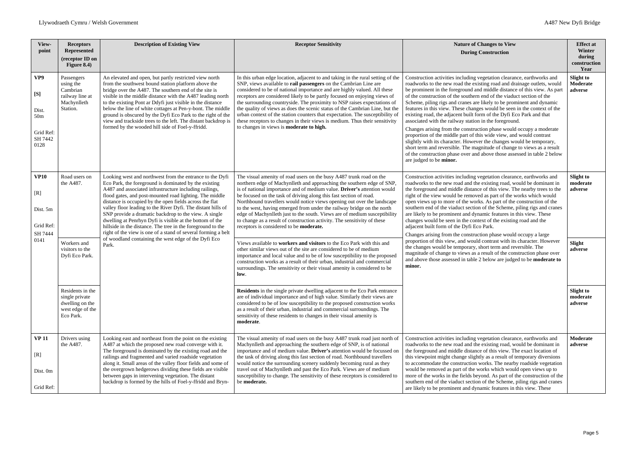| View-<br>point                                                         | <b>Receptors</b><br><b>Represented</b><br>(receptor ID on<br>Figure 8.4)               | <b>Description of Existing View</b>                                                                                                                                                                                                                                                                                                                                                                                                                                                                                                                                                                                                                                                     | <b>Receptor Sensitivity</b>                                                                                                                                                                                                                                                                                                                                                                                                                                                                                                                                                                                                                                                                                                                                                                                                                                                                                                                                                                                                                                  | <b>Nature of Changes to View</b><br><b>During Construction</b>                                                                                                                                                                                                                                                                                                                                                                                                                                                                                                                                                                                                                                                                                                                                                                                                                                                                                                                                                                     | <b>Effect at</b><br>Winter<br>during<br>construction<br>Year |
|------------------------------------------------------------------------|----------------------------------------------------------------------------------------|-----------------------------------------------------------------------------------------------------------------------------------------------------------------------------------------------------------------------------------------------------------------------------------------------------------------------------------------------------------------------------------------------------------------------------------------------------------------------------------------------------------------------------------------------------------------------------------------------------------------------------------------------------------------------------------------|--------------------------------------------------------------------------------------------------------------------------------------------------------------------------------------------------------------------------------------------------------------------------------------------------------------------------------------------------------------------------------------------------------------------------------------------------------------------------------------------------------------------------------------------------------------------------------------------------------------------------------------------------------------------------------------------------------------------------------------------------------------------------------------------------------------------------------------------------------------------------------------------------------------------------------------------------------------------------------------------------------------------------------------------------------------|------------------------------------------------------------------------------------------------------------------------------------------------------------------------------------------------------------------------------------------------------------------------------------------------------------------------------------------------------------------------------------------------------------------------------------------------------------------------------------------------------------------------------------------------------------------------------------------------------------------------------------------------------------------------------------------------------------------------------------------------------------------------------------------------------------------------------------------------------------------------------------------------------------------------------------------------------------------------------------------------------------------------------------|--------------------------------------------------------------|
| VP9<br>[S]<br>Dist.<br>50 <sub>m</sub><br>Grid Ref:<br>SH 7442<br>0128 | Passengers<br>using the<br>Cambrian<br>railway line at<br>Machynlleth<br>Station.      | An elevated and open, but partly restricted view north<br>from the southwest bound station platform above the<br>bridge over the A487. The southern end of the site is<br>visible in the middle distance with the A487 leading north<br>to the existing Pont ar Ddyfi just visible in the distance<br>below the line of white cottages at Pen-y-bont. The middle<br>ground is obscured by the Dyfi Eco Park to the right of the<br>view and trackside trees to the left. The distant backdrop is<br>formed by the wooded hill side of Foel-y-ffridd.                                                                                                                                    | In this urban edge location, adjacent to and taking in the rural setting of the<br>SNP, views available to rail passengers on the Cambrian Line are<br>considered to be of national importance and are highly valued. All these<br>receptors are considered likely to be partly focused on enjoying views of<br>the surrounding countryside. The proximity to NSP raises expectations of<br>the quality of views as does the scenic status of the Cambrian Line, but the<br>urban context of the station counters that expectation. The susceptibility of<br>these receptors to changes in their views is medium. Thus their sensitivity<br>to changes in views is <b>moderate to high.</b>                                                                                                                                                                                                                                                                                                                                                                  | Construction activities including vegetation clearance, earthworks and<br>roadworks to the new road the existing road and drainage outlets, would<br>be prominent in the foreground and middle distance of this view. As part<br>of the construction of the southern end of the viaduct section of the<br>Scheme, piling rigs and cranes are likely to be prominent and dynamic<br>features in this view. These changes would be seen in the context of the<br>existing road, the adjacent built form of the Dyfi Eco Park and that<br>associated with the railway station in the foreground.<br>Changes arising from the construction phase would occupy a moderate<br>proportion of the middle part of this wide view, and would contrast<br>slightly with its character. However the changes would be temporary,<br>short term and reversible. The magnitude of change to views as a result<br>of the construction phase over and above those assessed in table 2 below<br>are judged to be <b>minor.</b>                       | <b>Slight to</b><br>Moderate<br>adverse                      |
| <b>VP10</b><br>[R]<br>Dist. 5m<br>Grid Ref:<br>SH 7444<br>0141         | Road users on<br>the A487.<br>Workers and<br>visitors to the<br>Dyfi Eco Park.         | Looking west and northwest from the entrance to the Dyfi<br>Eco Park, the foreground is dominated by the existing<br>A487 and associated infrastructure including railings,<br>flood gates, and post-mounted road lighting. The middle<br>distance is occupied by the open fields across the flat<br>valley floor leading to the River Dyfi. The distant hills of<br>SNP provide a dramatic backdrop to the view. A single<br>dwelling at Penrhyn Dyfi is visible at the bottom of the<br>hillside in the distance. The tree in the foreground to the<br>right of the view is one of a stand of several forming a belt<br>of woodland containing the west edge of the Dyfi Eco<br>Park. | The visual amenity of road users on the busy A487 trunk road on the<br>northern edge of Machynlleth and approaching the southern edge of SNP,<br>is of national importance and of medium value. Driver's attention would<br>be focused on the task of driving along this fast section of road.<br>Northbound travellers would notice views opening out over the landscape<br>to the west, having emerged from under the railway bridge on the north<br>edge of Machynlleth just to the south. Views are of medium susceptibility<br>to change as a result of construction activity. The sensitivity of these<br>receptors is considered to be <b>moderate.</b><br>Views available to workers and visitors to the Eco Park with this and<br>other similar views out of the site are considered to be of medium<br>importance and local value and to be of low susceptibility to the proposed<br>construction works as a result of their urban, industrial and commercial<br>surroundings. The sensitivity or their visual amenity is considered to be<br>low. | Construction activities including vegetation clearance, earthworks and<br>roadworks to the new road and the existing road, would be dominant in<br>the foreground and middle distance of this view. The nearby trees to the<br>right of the view would be removed as part of the works which would<br>open views up to more of the works. As part of the construction of the<br>southern end of the viaduct section of the Scheme, piling rigs and cranes<br>are likely to be prominent and dynamic features in this view. These<br>changes would be seen in the context of the existing road and the<br>adjacent built form of the Dyfi Eco Park.<br>Changes arising from the construction phase would occupy a large<br>proportion of this view, and would contrast with its character. However<br>the changes would be temporary, short term and reversible. The<br>magnitude of change to views as a result of the construction phase over<br>and above those assessed in table 2 below are judged to be moderate to<br>minor. | Slight to<br>moderate<br>adverse<br>Slight<br>adverse        |
|                                                                        | Residents in the<br>single private<br>dwelling on the<br>west edge of the<br>Eco Park. |                                                                                                                                                                                                                                                                                                                                                                                                                                                                                                                                                                                                                                                                                         | Residents in the single private dwelling adjacent to the Eco Park entrance<br>are of individual importance and of high value. Similarly their views are<br>considered to be of low susceptibility to the proposed construction works<br>as a result of their urban, industrial and commercial surroundings. The<br>sensitivity of these residents to changes in their visual amenity is<br>moderate.                                                                                                                                                                                                                                                                                                                                                                                                                                                                                                                                                                                                                                                         |                                                                                                                                                                                                                                                                                                                                                                                                                                                                                                                                                                                                                                                                                                                                                                                                                                                                                                                                                                                                                                    | <b>Slight to</b><br>moderate<br>adverse                      |
| <b>VP 11</b><br>[R]<br>Dist. 0m<br>Grid Ref:                           | Drivers using<br>the A487.                                                             | Looking east and northeast from the point on the existing<br>A487 at which the proposed new road converge with it.<br>The foreground is dominated by the existing road and the<br>railings and fragmented and varied roadside vegetation<br>along it. Small areas of the valley floor fields and some of<br>the overgrown hedgerows dividing these fields are visible<br>between gaps in intervening vegetation. The distant<br>backdrop is formed by the hills of Foel-y-ffridd and Bryn-                                                                                                                                                                                              | The visual amenity of road users on the busy A487 trunk road just north of<br>Machynlleth and approaching the southern edge of SNP, is of national<br>importance and of medium value. Driver's attention would be focussed on<br>the task of driving along this fast section of road. Northbound travellers<br>would notice the surrounding scenery suddenly becoming rural as they<br>travel out of Machynlleth and past the Eco Park. Views are of medium<br>susceptibility to change. The sensitivity of these receptors is considered to<br>be moderate.                                                                                                                                                                                                                                                                                                                                                                                                                                                                                                 | Construction activities including vegetation clearance, earthworks and<br>roadworks to the new road and the existing road, would be dominant in<br>the foreground and middle distance of this view. The exact location of<br>this viewpoint might change slightly as a result of temporary diversions<br>to accommodate the construction works. The nearby roadside vegetation<br>would be removed as part of the works which would open views up to<br>more of the works in the fields beyond. As part of the construction of the<br>southern end of the viaduct section of the Scheme, piling rigs and cranes<br>are likely to be prominent and dynamic features in this view. These                                                                                                                                                                                                                                                                                                                                             | Moderate<br>adverse                                          |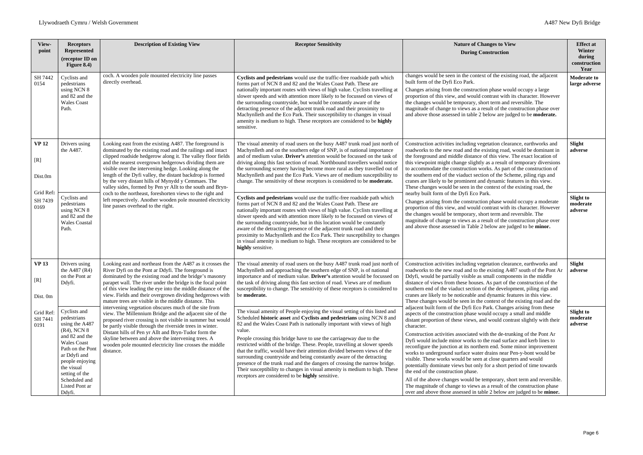| View-<br>point                  | <b>Receptors</b><br><b>Represented</b><br>(receptor ID on<br>Figure $8.4$ )                                                                                                                                                             | <b>Description of Existing View</b>                                                                                                                                                                                                                                                                                                                                                                                                                                                    | <b>Receptor Sensitivity</b>                                                                                                                                                                                                                                                                                                                                                                                                                                                                                                                                                                                                                                                                                                                                      | <b>Nature of Changes to View</b><br><b>During Construction</b>                                                                                                                                                                                                                                                                                                                                                                                                                                                                                                                                                                                                                                                                                                                                                                                                                                                                                               | <b>Effect at</b><br>Winter<br>during<br>construction<br>Year |
|---------------------------------|-----------------------------------------------------------------------------------------------------------------------------------------------------------------------------------------------------------------------------------------|----------------------------------------------------------------------------------------------------------------------------------------------------------------------------------------------------------------------------------------------------------------------------------------------------------------------------------------------------------------------------------------------------------------------------------------------------------------------------------------|------------------------------------------------------------------------------------------------------------------------------------------------------------------------------------------------------------------------------------------------------------------------------------------------------------------------------------------------------------------------------------------------------------------------------------------------------------------------------------------------------------------------------------------------------------------------------------------------------------------------------------------------------------------------------------------------------------------------------------------------------------------|--------------------------------------------------------------------------------------------------------------------------------------------------------------------------------------------------------------------------------------------------------------------------------------------------------------------------------------------------------------------------------------------------------------------------------------------------------------------------------------------------------------------------------------------------------------------------------------------------------------------------------------------------------------------------------------------------------------------------------------------------------------------------------------------------------------------------------------------------------------------------------------------------------------------------------------------------------------|--------------------------------------------------------------|
| SH 7442<br>0154                 | Cyclists and<br>pedestrians<br>using NCN 8<br>and 82 and the<br><b>Wales</b> Coast<br>Path.                                                                                                                                             | coch. A wooden pole mounted electricity line passes<br>directly overhead.                                                                                                                                                                                                                                                                                                                                                                                                              | Cyclists and pedestrians would use the traffic-free roadside path which<br>forms part of NCN 8 and 82 and the Wales Coast Path. These are<br>nationally important routes with views of high value. Cyclists travelling at<br>slower speeds and with attention more likely to be focussed on views of<br>the surrounding countryside, but would be constantly aware of the<br>detracting presence of the adjacent trunk road and their proximity to<br>Machynlleth and the Eco Park. Their susceptibility to changes in visual<br>amenity is medium to high. These receptors are considered to be highly<br>sensitive.                                                                                                                                            | changes would be seen in the context of the existing road, the adjacent<br>built form of the Dyfi Eco Park.<br>Changes arising from the construction phase would occupy a large<br>proportion of this view, and would contrast with its character. However<br>the changes would be temporary, short term and reversible. The<br>magnitude of change to views as a result of the construction phase over<br>and above those assessed in table 2 below are judged to be <b>moderate.</b>                                                                                                                                                                                                                                                                                                                                                                                                                                                                       | <b>Moderate to</b><br>large adverse                          |
| <b>VP12</b><br>[R]<br>Dist.0m   | Drivers using<br>the A487.                                                                                                                                                                                                              | Looking east from the existing A487. The foreground is<br>dominated by the existing road and the railings and intact<br>clipped roadside hedgerow along it. The valley floor fields<br>and the nearest overgrown hedgerows dividing them are<br>visible over the intervening hedge. Looking along the<br>length of the Dyfi valley, the distant backdrop is formed<br>by the very distant hills of Mynydd y Cemmaes. The<br>valley sides, formed by Pen yr Allt to the south and Bryn- | The visual amenity of road users on the busy A487 trunk road just north of<br>Machynlleth and on the southern edge of SNP, is of national importance<br>and of medium value. Driver's attention would be focussed on the task of<br>driving along this fast section of road. Northbound travellers would notice<br>the surrounding scenery having become more rural as they travelled out of<br>Machynlleth and past the Eco Park. Views are of medium susceptibility to<br>change. The sensitivity of these receptors is considered to be <b>moderate.</b>                                                                                                                                                                                                      | Construction activities including vegetation clearance, earthworks and<br>roadworks to the new road and the existing road, would be dominant in<br>the foreground and middle distance of this view. The exact location of<br>this viewpoint might change slightly as a result of temporary diversions<br>to accommodate the construction works. As part of the construction of<br>the southern end of the viaduct section of the Scheme, piling rigs and<br>cranes are likely to be prominent and dynamic features in this view.<br>These changes would be seen in the context of the existing road, the                                                                                                                                                                                                                                                                                                                                                     | Slight<br>adverse                                            |
| Grid Ref:<br>SH 7439<br>0169    | Cyclists and<br>pedestrians<br>using NCN 8<br>and 82 and the<br><b>Wales Coastal</b><br>Path.                                                                                                                                           | coch to the northeast, foreshorten views to the right and<br>left respectively. Another wooden pole mounted electricity<br>line passes overhead to the right.                                                                                                                                                                                                                                                                                                                          | Cyclists and pedestrians would use the traffic-free roadside path which<br>forms part of NCN 8 and 82 and the Wales Coast Path. These are<br>nationally important routes with views of high value. Cyclists travelling at<br>slower speeds and with attention more likely to be focussed on views of<br>the surrounding countryside, but in this location would be constantly<br>aware of the detracting presence of the adjacent trunk road and their<br>proximity to Machynlleth and the Eco Park. Their susceptibility to changes<br>in visual amenity is medium to high. These receptors are considered to be<br>highly sensitive.                                                                                                                           | nearby built form of the Dyfi Eco Park.<br>Changes arising from the construction phase would occupy a moderate<br>proportion of this view, and would contrast with its character. However<br>the changes would be temporary, short term and reversible. The<br>magnitude of change to views as a result of the construction phase over<br>and above those assessed in Table 2 below are judged to be minor.                                                                                                                                                                                                                                                                                                                                                                                                                                                                                                                                                  | <b>Slight to</b><br>moderate<br>adverse                      |
| <b>VP 13</b><br>[R]<br>Dist. 0m | Drivers using<br>the A487 (R4)<br>on the Pont ar<br>Ddyfi.                                                                                                                                                                              | Looking east and northeast from the A487 as it crosses the<br>River Dyfi on the Pont ar Ddyfi. The foreground is<br>dominated by the existing road and the bridge's masonry<br>parapet wall. The river under the bridge is the focal point<br>of this view leading the eye into the middle distance of the<br>view. Fields and their overgrown dividing hedgerows with<br>mature trees are visible in the middle distance. This                                                        | The visual amenity of road users on the busy A487 trunk road just north of<br>Machynlleth and approaching the southern edge of SNP, is of national<br>importance and of medium value. Driver's attention would be focussed on<br>the task of driving along this fast section of road. Views are of medium<br>susceptibility to change. The sensitivity of these receptors is considered to<br>be moderate.                                                                                                                                                                                                                                                                                                                                                       | Construction activities including vegetation clearance, earthworks and<br>roadworks to the new road and to the existing A487 south of the Pont Ar<br>Ddyfi, would be partially visible as small components in the middle<br>distance of views from these houses. As part of the construction of the<br>southern end of the viaduct section of the development, piling rigs and<br>cranes are likely to be noticeable and dynamic features in this view.<br>These changes would be seen in the context of the existing road and the                                                                                                                                                                                                                                                                                                                                                                                                                           | Slight<br>adverse                                            |
| Grid Ref:<br>SH 7441<br>0191    | Cyclists and<br>pedestrians<br>using the A487<br>(R4), NCN 8<br>and 82 and the<br><b>Wales</b> Coast<br>Path on the Pon<br>ar Ddyfi and<br>people enjoying<br>the visual<br>setting of the<br>Scheduled and<br>Listed Pont ar<br>Ddyfi. | intervening vegetation obscures much of the site from<br>view. The Millennium Bridge and the adjacent site of the<br>proposed river crossing is not visible in summer but would<br>be partly visible through the riverside trees in winter.<br>Distant hills of Pen yr Allt and Bryn-Tudor form the<br>skyline between and above the intervening trees. A<br>wooden pole mounted electricity line crosses the middle<br>distance.                                                      | The visual amenity of People enjoying the visual setting of this listed and<br>Scheduled historic asset and Cyclists and pedestrians using NCN 8 and<br>82 and the Wales Coast Path is nationally important with views of high<br>value.<br>People crossing this bridge have to use the carriageway due to the<br>restricted width of the bridge. These. People, travelling at slower speeds<br>that the traffic, would have their attention divided between views of the<br>surrounding countryside and being constantly aware of the detracting<br>presence of the trunk road and the dangers of crossing the narrow bridge.<br>Their susceptibility to changes in visual amenity is medium to high. These<br>receptors are considered to be highly sensitive. | adjacent built form of the Dyfi Eco Park. Changes arising from these<br>aspects of the construction phase would occupy a small and middle<br>distant proportion of these views, and would contrast slightly with their<br>character.<br>Construction activities associated with the de-trunking of the Pont Ar<br>Dyfi would include minor works to the road surface and kerb lines to<br>reconfigure the junction at its northern end. Some minor improvement<br>works to underground surface water drains near Pen-y-bont would be<br>visible. These works would be seen at close quarters and would<br>potentially dominate views but only for a short period of time towards<br>the end of the construction phase.<br>All of the above changes would be temporary, short term and reversible.<br>The magnitude of change to views as a result of the construction phase<br>over and above those assessed in table 2 below are judged to be <b>minor.</b> | <b>Slight to</b><br>moderate<br>adverse                      |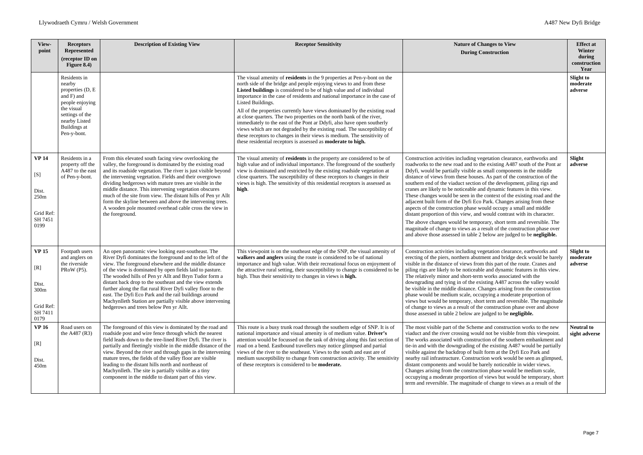| View-<br>point                                                                   | <b>Receptors</b><br><b>Represented</b><br>(receptor ID on<br>Figure 8.4)                                                                                     | <b>Description of Existing View</b>                                                                                                                                                                                                                                                                                                                                                                                                                                                                                                                                                         | <b>Receptor Sensitivity</b>                                                                                                                                                                                                                                                                                                                                                                                                                                                                                                                                                                                                                                                                                                                                                               | <b>Nature of Changes to View</b><br><b>During Construction</b>                                                                                                                                                                                                                                                                                                                                                                                                                                                                                                                                                                                                                                                                                                                                                                                                                                                                                                                          | <b>Effect at</b><br>Winter<br>during<br>construction<br>Year |
|----------------------------------------------------------------------------------|--------------------------------------------------------------------------------------------------------------------------------------------------------------|---------------------------------------------------------------------------------------------------------------------------------------------------------------------------------------------------------------------------------------------------------------------------------------------------------------------------------------------------------------------------------------------------------------------------------------------------------------------------------------------------------------------------------------------------------------------------------------------|-------------------------------------------------------------------------------------------------------------------------------------------------------------------------------------------------------------------------------------------------------------------------------------------------------------------------------------------------------------------------------------------------------------------------------------------------------------------------------------------------------------------------------------------------------------------------------------------------------------------------------------------------------------------------------------------------------------------------------------------------------------------------------------------|-----------------------------------------------------------------------------------------------------------------------------------------------------------------------------------------------------------------------------------------------------------------------------------------------------------------------------------------------------------------------------------------------------------------------------------------------------------------------------------------------------------------------------------------------------------------------------------------------------------------------------------------------------------------------------------------------------------------------------------------------------------------------------------------------------------------------------------------------------------------------------------------------------------------------------------------------------------------------------------------|--------------------------------------------------------------|
|                                                                                  | Residents in<br>nearby<br>properties (D, E<br>and F) and<br>people enjoying<br>the visual<br>settings of the<br>nearby Listed<br>Buildings at<br>Pen-y-bont. |                                                                                                                                                                                                                                                                                                                                                                                                                                                                                                                                                                                             | The visual amenity of residents in the 9 properties at Pen-y-bont on the<br>north side of the bridge and people enjoying views to and from these<br>Listed buildings is considered to be of high value and of individual<br>importance in the case of residents and national importance in the case of<br>Listed Buildings.<br>All of the properties currently have views dominated by the existing road<br>at close quarters. The two properties on the north bank of the river,<br>immediately to the east of the Pont ar Ddyfi, also have open southerly<br>views which are not degraded by the existing road. The susceptibility of<br>these receptors to changes in their views is medium. The sensitivity of<br>these residential receptors is assessed as <b>moderate to high.</b> |                                                                                                                                                                                                                                                                                                                                                                                                                                                                                                                                                                                                                                                                                                                                                                                                                                                                                                                                                                                         | <b>Slight to</b><br>moderate<br>adverse                      |
| <b>VP 14</b><br>[S]<br>Dist.<br>250 <sub>m</sub><br>Grid Ref:<br>SH 7451<br>0199 | Residents in a<br>property off the<br>A487 to the east<br>of Pen-y-bont.                                                                                     | From this elevated south facing view overlooking the<br>valley, the foreground is dominated by the existing road<br>and its roadside vegetation. The river is just visible beyond<br>the intervening vegetation. Fields and their overgrown<br>dividing hedgerows with mature trees are visible in the<br>middle distance. This intervening vegetation obscures<br>much of the site from view. The distant hills of Pen yr Allt<br>form the skyline between and above the intervening trees.<br>A wooden pole mounted overhead cable cross the view in<br>the foreground.                   | The visual amenity of residents in the property are considered to be of<br>high value and of individual importance. The foreground of the southerly<br>view is dominated and restricted by the existing roadside vegetation at<br>close quarters. The susceptibility of these receptors to changes in their<br>views is high. The sensitivity of this residential receptors is assessed as<br>high.                                                                                                                                                                                                                                                                                                                                                                                       | Construction activities including vegetation clearance, earthworks and<br>roadworks to the new road and to the existing A487 south of the Pont ar<br>Ddyfi, would be partially visible as small components in the middle<br>distance of views from these houses. As part of the construction of the<br>southern end of the viaduct section of the development, piling rigs and<br>cranes are likely to be noticeable and dynamic features in this view.<br>These changes would be seen in the context of the existing road and the<br>adjacent built form of the Dyfi Eco Park. Changes arising from these<br>aspects of the construction phase would occupy a small and middle<br>distant proportion of this view, and would contrast with its character.<br>The above changes would be temporary, short term and reversible. The<br>magnitude of change to views as a result of the construction phase over<br>and above those assessed in table 2 below are judged to be negligible. | Slight<br>adverse                                            |
| <b>VP 15</b><br>[R]<br>Dist.<br>300m<br>Grid Ref:<br>SH 7411<br>0179             | Footpath users<br>and anglers on<br>the riverside<br>PRoW (P5).                                                                                              | An open panoramic view looking east-southeast. The<br>River Dyfi dominates the foreground and to the left of the<br>view. The foreground elsewhere and the middle distance<br>of the view is dominated by open fields laid to pasture.<br>The wooded hills of Pen yr Allt and Bryn Tudor form a<br>distant back drop to the southeast and the view extends<br>further along the flat rural River Dyfi valley floor to the<br>east. The Dyfi Eco Park and the rail buildings around<br>Machynlleth Station are partially visible above intervening<br>hedgerows and trees below Pen yr Allt. | This viewpoint is on the southeast edge of the SNP, the visual amenity of<br>walkers and anglers using the route is considered to be of national<br>importance and high value. With their recreational focus on enjoyment of<br>the attractive rural setting, their susceptibility to change is considered to be<br>high. Thus their sensitivity to changes in views is high.                                                                                                                                                                                                                                                                                                                                                                                                             | Construction activities including vegetation clearance, earthworks and<br>erecting of the piers, northern abutment and bridge deck would be barely<br>visible in the distance of views from this part of the route. Cranes and<br>piling rigs are likely to be noticeable and dynamic features in this view.<br>The relatively minor and short-term works associated with the<br>downgrading and tying in of the existing A487 across the valley would<br>be visible in the middle distance. Changes arising from the construction<br>phase would be medium scale, occupying a moderate proportion of<br>views but would be temporary, short term and reversible. The magnitude<br>of change to views as a result of the construction phase over and above<br>those assessed in table 2 below are judged to be negligible.                                                                                                                                                              | <b>Slight to</b><br>moderate<br>adverse                      |
| <b>VP 16</b><br>[R]<br>Dist.<br>450m                                             | Road users on<br>the A487 (R3)                                                                                                                               | The foreground of this view is dominated by the road and<br>roadside post and wire fence through which the nearest<br>field leads down to the tree-lined River Dyfi. The river is<br>partially and fleetingly visible in the middle distance of the<br>view. Beyond the river and through gaps in the intervening<br>mature trees, the fields of the valley floor are visible<br>leading to the distant hills north and northeast of<br>Machynlleth. The site is partially visible as a tiny<br>component in the middle to distant part of this view.                                       | This route is a busy trunk road through the southern edge of SNP. It is of<br>national importance and visual amenity is of medium value. Driver's<br>attention would be focussed on the task of driving along this fast section of<br>road on a bend. Eastbound travellers may notice glimpsed and partial<br>views of the river to the southeast. Views to the south and east are of<br>medium susceptibility to change from construction activity. The sensitivity<br>of these receptors is considered to be <b>moderate.</b>                                                                                                                                                                                                                                                           | The most visible part of the Scheme and construction works to the new<br>viaduct and the river crossing would not be visible from this viewpoint.<br>The works associated with construction of the southern embankment and<br>tie-in and with the downgrading of the existing A487 would be partially<br>visible against the backdrop of built form at the Dyfi Eco Park and<br>nearby rail infrastructure. Construction work would be seen as glimpsed,<br>distant components and would be barely noticeable in wider views.<br>Changes arising from the construction phase would be medium scale,<br>occupying a moderate proportion of views but would be temporary, short<br>term and reversible. The magnitude of change to views as a result of the                                                                                                                                                                                                                               | <b>Neutral to</b><br>sight adverse                           |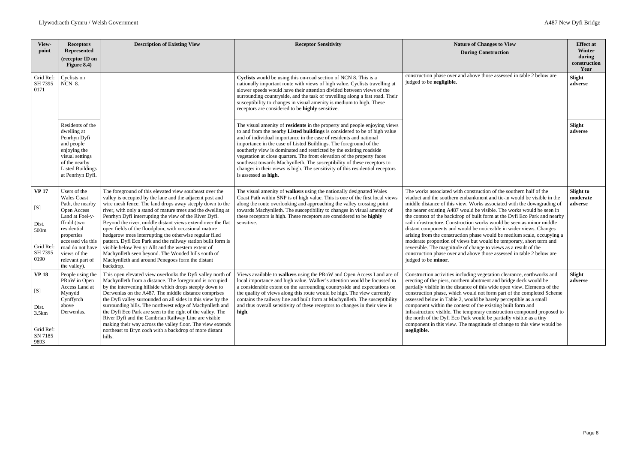| View-                                                                 | <b>Receptors</b>                                                                                                                                                                                                                  | <b>Description of Existing View</b>                                                                                                                                                                                                                                                                                                                                                                                                                                                                                                                                                                                                                                                                                                       | <b>Receptor Sensitivity</b>                                                                                                                                                                                                                                                                                                                                                                                                                                                                                                                                                                                                             | <b>Nature of Changes to View</b>                                                                                                                                                                                                                                                                                                                                                                                                                                                                                                                                                                                                                                                                                                                                                                                                                       |
|-----------------------------------------------------------------------|-----------------------------------------------------------------------------------------------------------------------------------------------------------------------------------------------------------------------------------|-------------------------------------------------------------------------------------------------------------------------------------------------------------------------------------------------------------------------------------------------------------------------------------------------------------------------------------------------------------------------------------------------------------------------------------------------------------------------------------------------------------------------------------------------------------------------------------------------------------------------------------------------------------------------------------------------------------------------------------------|-----------------------------------------------------------------------------------------------------------------------------------------------------------------------------------------------------------------------------------------------------------------------------------------------------------------------------------------------------------------------------------------------------------------------------------------------------------------------------------------------------------------------------------------------------------------------------------------------------------------------------------------|--------------------------------------------------------------------------------------------------------------------------------------------------------------------------------------------------------------------------------------------------------------------------------------------------------------------------------------------------------------------------------------------------------------------------------------------------------------------------------------------------------------------------------------------------------------------------------------------------------------------------------------------------------------------------------------------------------------------------------------------------------------------------------------------------------------------------------------------------------|
| point                                                                 | <b>Represented</b><br>(receptor ID on<br>Figure $8.4$ )                                                                                                                                                                           |                                                                                                                                                                                                                                                                                                                                                                                                                                                                                                                                                                                                                                                                                                                                           |                                                                                                                                                                                                                                                                                                                                                                                                                                                                                                                                                                                                                                         | <b>During Construction</b>                                                                                                                                                                                                                                                                                                                                                                                                                                                                                                                                                                                                                                                                                                                                                                                                                             |
| Grid Ref:<br>SH 7395<br>0171                                          | Cyclists on<br><b>NCN 8.</b>                                                                                                                                                                                                      |                                                                                                                                                                                                                                                                                                                                                                                                                                                                                                                                                                                                                                                                                                                                           | Cyclists would be using this on-road section of NCN 8. This is a<br>nationally important route with views of high value. Cyclists travelling at<br>slower speeds would have their attention divided between views of the<br>surrounding countryside, and the task of travelling along a fast road. Their<br>susceptibility to changes in visual amenity is medium to high. These<br>receptors are considered to be highly sensitive.                                                                                                                                                                                                    | construction phase over and above those assessed in table 2 below are<br>judged to be negligible.                                                                                                                                                                                                                                                                                                                                                                                                                                                                                                                                                                                                                                                                                                                                                      |
|                                                                       | Residents of the<br>dwelling at<br>Penrhyn Dyfi<br>and people<br>enjoying the<br>visual settings<br>of the nearby<br><b>Listed Buildings</b><br>at Penrhyn Dyfi.                                                                  |                                                                                                                                                                                                                                                                                                                                                                                                                                                                                                                                                                                                                                                                                                                                           | The visual amenity of residents in the property and people enjoying views<br>to and from the nearby Listed buildings is considered to be of high value<br>and of individual importance in the case of residents and national<br>importance in the case of Listed Buildings. The foreground of the<br>southerly view is dominated and restricted by the existing roadside<br>vegetation at close quarters. The front elevation of the property faces<br>southeast towards Machynlleth. The susceptibility of these receptors to<br>changes in their views is high. The sensitivity of this residential receptors<br>is assessed as high. |                                                                                                                                                                                                                                                                                                                                                                                                                                                                                                                                                                                                                                                                                                                                                                                                                                                        |
| <b>VP 17</b><br>[S]<br>Dist.<br>500m<br>Grid Ref:<br>SH 7395<br>0190  | Users of the<br><b>Wales Coast</b><br>Path, the nearby<br>Open Access<br>Land at Foel-y-<br>ffridd (two<br>residential<br>properties<br>accessed via this<br>road do not have<br>views of the<br>relevant part of<br>the valley). | The foreground of this elevated view southeast over the<br>valley is occupied by the lane and the adjacent post and<br>wire mesh fence. The land drops away steeply down to the<br>river, with only a stand of mature trees and the dwelling at<br>Penrhyn Dyfi interrupting the view of the River Dyfi.<br>Beyond the river, middle distant views extend over the flat<br>open fields of the floodplain, with occasional mature<br>hedgerow trees interrupting the otherwise regular filed<br>pattern. Dyfi Eco Park and the railway station built form is<br>visible below Pen yr Allt and the western extent of<br>Machynlleth seen beyond. The Wooded hills south of<br>Machynlleth and around Penegoes form the distant<br>backdrop. | The visual amenity of walkers using the nationally designated Wales<br>Coast Path within SNP is of high value. This is one of the first local views<br>along the route overlooking and approaching the valley crossing point<br>towards Machynlleth. The susceptibility to changes in visual amenity of<br>these receptors is high. These receptors are considered to be highly<br>sensitive.                                                                                                                                                                                                                                           | The works associated with construction of the southern half of the<br>viaduct and the southern embankment and tie-in would be visible in the<br>middle distance of this view. Works associated with the downgrading of<br>the nearer existing A487 would be visible. The works would be seen in<br>the context of the backdrop of built form at the Dyfi Eco Park and nearby<br>rail infrastructure. Construction works would be seen as minor middle<br>distant components and would be noticeable in wider views. Changes<br>arising from the construction phase would be medium scale, occupying a<br>moderate proportion of views but would be temporary, short term and<br>reversible. The magnitude of change to views as a result of the<br>construction phase over and above those assessed in table 2 below are<br>judged to be <b>minor.</b> |
| <b>VP 18</b><br>[S]<br>Dist.<br>3.5km<br>Grid Ref:<br>SN 7185<br>9893 | People using the<br>PRoW in Open<br>Access Land at<br>Mynydd<br>Cynffyrch<br>above<br>Derwenlas.                                                                                                                                  | This open elevated view overlooks the Dyfi valley north of<br>Machynlleth from a distance. The foreground is occupied<br>by the intervening hillside which drops steeply down to<br>Derwenlas on the A487. The middle distance comprises<br>the Dyfi valley surrounded on all sides in this view by the<br>surrounding hills. The northwest edge of Machynlleth and<br>the Dyfi Eco Park are seen to the right of the valley. The<br>River Dyfi and the Cambrian Railway Line are visible<br>making their way across the valley floor. The view extends<br>northeast to Bryn coch with a backdrop of more distant<br>hills.                                                                                                               | Views available to walkers using the PRoW and Open Access Land are of<br>local importance and high value. Walker's attention would be focussed to<br>a considerable extent on the surrounding countryside and expectations on<br>the quality of views along this route would be high. The view currently<br>contains the railway line and built form at Machynlleth. The susceptibility<br>and thus overall sensitivity of these receptors to changes in their view is<br>high.                                                                                                                                                         | Construction activities including vegetation clearance, earthworks and<br>erecting of the piers, northern abutment and bridge deck would be<br>partially visible in the distance of this wide open view. Elements of the<br>construction phase, which would not form part of the completed Scheme<br>assessed below in Table 2, would be barely perceptible as a small<br>component within the context of the existing built form and<br>infrastructure visible. The temporary construction compound proposed to<br>the north of the Dyfi Eco Park would be partially visible as a tiny<br>component in this view. The magnitude of change to this view would be<br>negligible.                                                                                                                                                                        |

| <b>Nature of Changes to View</b><br><b>During Construction</b>                                                                                                                                                                                                                                                                                                                                                                                                                                                                                                                                                                                                                                                                                                                                                                                  | <b>Effect at</b><br><b>Winter</b><br>during<br>construction<br>Year |
|-------------------------------------------------------------------------------------------------------------------------------------------------------------------------------------------------------------------------------------------------------------------------------------------------------------------------------------------------------------------------------------------------------------------------------------------------------------------------------------------------------------------------------------------------------------------------------------------------------------------------------------------------------------------------------------------------------------------------------------------------------------------------------------------------------------------------------------------------|---------------------------------------------------------------------|
| construction phase over and above those assessed in table 2 below are<br>judged to be negligible.                                                                                                                                                                                                                                                                                                                                                                                                                                                                                                                                                                                                                                                                                                                                               | <b>Slight</b><br>adverse                                            |
|                                                                                                                                                                                                                                                                                                                                                                                                                                                                                                                                                                                                                                                                                                                                                                                                                                                 | Slight<br>adverse                                                   |
| The works associated with construction of the southern half of the<br>viaduct and the southern embankment and tie-in would be visible in the<br>middle distance of this view. Works associated with the downgrading of<br>the nearer existing A487 would be visible. The works would be seen in<br>the context of the backdrop of built form at the Dyfi Eco Park and nearby<br>rail infrastructure. Construction works would be seen as minor middle<br>distant components and would be noticeable in wider views. Changes<br>arising from the construction phase would be medium scale, occupying a<br>moderate proportion of views but would be temporary, short term and<br>reversible. The magnitude of change to views as a result of the<br>construction phase over and above those assessed in table 2 below are<br>judged to be minor. | <b>Slight to</b><br>moderate<br>adverse                             |
| Construction activities including vegetation clearance, earthworks and<br>erecting of the piers, northern abutment and bridge deck would be<br>partially visible in the distance of this wide open view. Elements of the<br>construction phase, which would not form part of the completed Scheme<br>assessed below in Table 2, would be barely perceptible as a small<br>component within the context of the existing built form and<br>infrastructure visible. The temporary construction compound proposed to<br>the north of the Dyfi Eco Park would be partially visible as a tiny<br>component in this view. The magnitude of change to this view would be<br>negligible.                                                                                                                                                                 | Slight<br>adverse                                                   |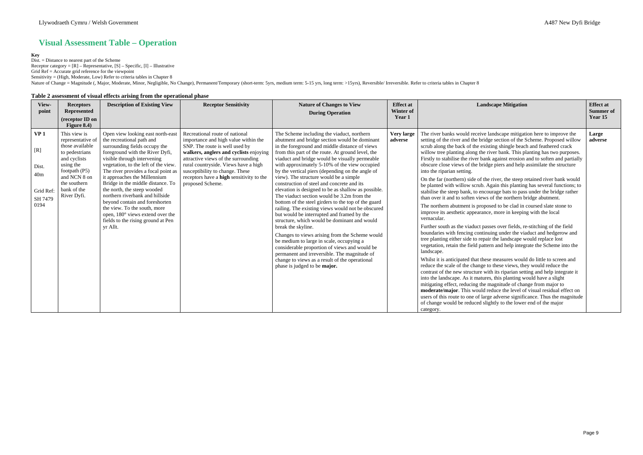## **Visual Assessment Table – Operation**

### **Key**

Dist. = Distance to nearest part of the Scheme Receptor category =  $[R]$  – Representative,  $[S]$  – Specific,  $[I]$  – Illustrative Grid Ref = Accurate grid reference for the viewpoint Sensitivity = (High, Moderate, Low) Refer to criteria tables in Chapter 8

Nature of Change = Magnitude (, Major, Moderate, Minor, Negligible, No Change), Permanent/Temporary (short-term: 5yrs, medium term: 5-15 yrs, long term: >15yrs), Reversible/ Irreversible. Refer to criteria tables in Chapte

### **Table 2 assessment of visual effects arising from the operational phase**

| View-<br>point                                                         | <b>Receptors</b><br><b>Represented</b><br>(receptor ID on<br>Figure $8.4$ )                                                                                                          | <b>Description of Existing View</b>                                                                                                                                                                                                                                                                                                                                                                                                                                                                                                             | <b>Receptor Sensitivity</b>                                                                                                                                                                                                                                                                                                                 | <b>Nature of Changes to View</b><br><b>During Operation</b>                                                                                                                                                                                                                                                                                                                                                                                                                                                                                                                                                                                                                                                                                                                                                                                                                                                                                                                                                                                                                    | <b>Effect at</b><br>Winter of<br>Year 1 | <b>Landscape Mitigation</b>                                                                                                                                                                                                                                                                                                                                                                                                                                                                                                                                                                                                                                                                                                                                                                                                                                                                                                                                                                                                                                                                                                                                                                                                                                                                                                                                                                                                                                                                                                                                                                                                                                                                                                                                                                                                                                                                                                                              | <b>Effect at</b><br><b>Summer of</b><br>Year 15 |
|------------------------------------------------------------------------|--------------------------------------------------------------------------------------------------------------------------------------------------------------------------------------|-------------------------------------------------------------------------------------------------------------------------------------------------------------------------------------------------------------------------------------------------------------------------------------------------------------------------------------------------------------------------------------------------------------------------------------------------------------------------------------------------------------------------------------------------|---------------------------------------------------------------------------------------------------------------------------------------------------------------------------------------------------------------------------------------------------------------------------------------------------------------------------------------------|--------------------------------------------------------------------------------------------------------------------------------------------------------------------------------------------------------------------------------------------------------------------------------------------------------------------------------------------------------------------------------------------------------------------------------------------------------------------------------------------------------------------------------------------------------------------------------------------------------------------------------------------------------------------------------------------------------------------------------------------------------------------------------------------------------------------------------------------------------------------------------------------------------------------------------------------------------------------------------------------------------------------------------------------------------------------------------|-----------------------------------------|----------------------------------------------------------------------------------------------------------------------------------------------------------------------------------------------------------------------------------------------------------------------------------------------------------------------------------------------------------------------------------------------------------------------------------------------------------------------------------------------------------------------------------------------------------------------------------------------------------------------------------------------------------------------------------------------------------------------------------------------------------------------------------------------------------------------------------------------------------------------------------------------------------------------------------------------------------------------------------------------------------------------------------------------------------------------------------------------------------------------------------------------------------------------------------------------------------------------------------------------------------------------------------------------------------------------------------------------------------------------------------------------------------------------------------------------------------------------------------------------------------------------------------------------------------------------------------------------------------------------------------------------------------------------------------------------------------------------------------------------------------------------------------------------------------------------------------------------------------------------------------------------------------------------------------------------------------|-------------------------------------------------|
| VP <sub>1</sub><br>[R]<br>Dist.<br>40m<br>Grid Ref:<br>SH 7479<br>0194 | This view is<br>representative of<br>those available<br>to pedestrians<br>and cyclists<br>using the<br>footpath $(P5)$<br>and NCN 8 on<br>the southern<br>bank of the<br>River Dyfi. | Open view looking east north-east<br>the recreational path and<br>surrounding fields occupy the<br>foreground with the River Dyfi,<br>visible through intervening<br>vegetation, to the left of the view.<br>The river provides a focal point as<br>it approaches the Millennium<br>Bridge in the middle distance. To<br>the north, the steep wooded<br>northern riverbank and hillside<br>beyond contain and foreshorten<br>the view. To the south, more<br>open, 180° views extend over the<br>fields to the rising ground at Pen<br>yr Allt. | Recreational route of national<br>importance and high value within the<br>SNP. The route is well used by<br>walkers, anglers and cyclists enjoying<br>attractive views of the surrounding<br>rural countryside. Views have a high<br>susceptibility to change. These<br>receptors have a <b>high</b> sensitivity to the<br>proposed Scheme. | The Scheme including the viaduct, northern<br>abutment and bridge section would be dominant<br>in the foreground and middle distance of views<br>from this part of the route. At ground level, the<br>viaduct and bridge would be visually permeable<br>with approximately 5-10% of the view occupied<br>by the vertical piers (depending on the angle of<br>view). The structure would be a simple<br>construction of steel and concrete and its<br>elevation is designed to be as shallow as possible.<br>The viaduct section would be 3.2m from the<br>bottom of the steel girders to the top of the guard<br>railing. The existing views would not be obscured<br>but would be interrupted and framed by the<br>structure, which would be dominant and would<br>break the skyline.<br>Changes to views arising from the Scheme would<br>be medium to large in scale, occupying a<br>considerable proportion of views and would be<br>permanent and irreversible. The magnitude of<br>change to views as a result of the operational<br>phase is judged to be <b>major.</b> | <b>Very large</b><br>adverse            | The river banks would receive landscape mitigation here to improve the<br>setting of the river and the bridge section of the Scheme. Proposed willow<br>scrub along the back of the existing shingle beach and feathered crack<br>willow tree planting along the river bank. This planting has two purposes.<br>Firstly to stabilise the river bank against erosion and to soften and partially<br>obscure close views of the bridge piers and help assimilate the structure<br>into the riparian setting.<br>On the far (northern) side of the river, the steep retained river bank would<br>be planted with willow scrub. Again this planting has several functions; to<br>stabilise the steep bank, to encourage bats to pass under the bridge rather<br>than over it and to soften views of the northern bridge abutment.<br>The northern abutment is proposed to be clad in coursed slate stone to<br>improve its aesthetic appearance, more in keeping with the local<br>vernacular.<br>Further south as the viaduct passes over fields, re-stitching of the field<br>boundaries with fencing continuing under the viaduct and hedgerow and<br>tree planting either side to repair the landscape would replace lost<br>vegetation, retain the field pattern and help integrate the Scheme into the<br>landscape.<br>Whilst it is anticipated that these measures would do little to screen and<br>reduce the scale of the change to these views, they would reduce the<br>contrast of the new structure with its riparian setting and help integrate it<br>into the landscape. As it matures, this planting would have a slight<br>mitigating effect, reducing the magnitude of change from major to<br>moderate/major. This would reduce the level of visual residual effect on<br>users of this route to one of large adverse significance. Thus the magnitude<br>of change would be reduced slightly to the lower end of the major<br>category. | Large<br>adverse                                |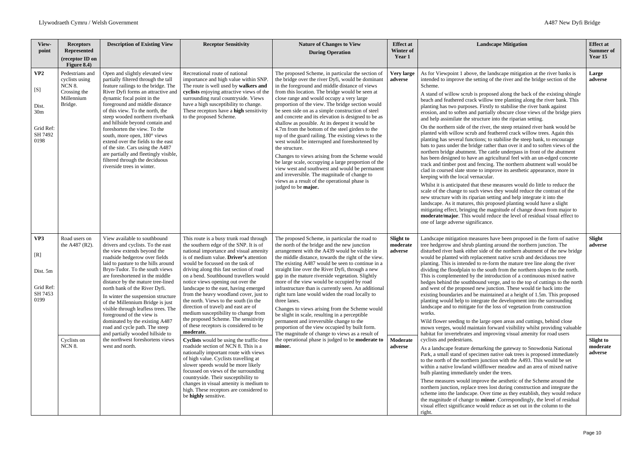| View-<br>point                                                                                                                                                                                                                                                                                                                                                                                                                                                                                                                                                           | <b>Receptors</b><br><b>Represented</b><br>(receptor ID on<br>Figure 8.4)             | <b>Description of Existing View</b>                                                                                                                                                                                                                                                                                                                                                                                                                                                                                                                                                                                              | <b>Receptor Sensitivity</b>                                                                                                                                                                                                                                                                                                                                                                                                                                                                                                                                                                                                                                                                                                                                                                                                                                                                                                                                                                                                                             | <b>Nature of Changes to View</b><br><b>During Operation</b>                                                                                                                                                                                                                                                                                                                                                                                                                                                                                                                                                                                                                                                                                                                                                                                                                                                                                   | <b>Effect at</b><br>Winter of<br>Year 1                        | <b>Landscape Mitigation</b>                                                                                                                                                                                                                                                                                                                                                                                                                                                                                                                                                                                                                                                                                                                                                                                                                                                                                                                                                                                                                                                                                                                                                                                                                                                                                                                                                                                                                                                                                                                                                                                                                                                                                                                                                                                                                                                                                                                                       | <b>Effect at</b><br><b>Summer</b> of<br>Year 15              |
|--------------------------------------------------------------------------------------------------------------------------------------------------------------------------------------------------------------------------------------------------------------------------------------------------------------------------------------------------------------------------------------------------------------------------------------------------------------------------------------------------------------------------------------------------------------------------|--------------------------------------------------------------------------------------|----------------------------------------------------------------------------------------------------------------------------------------------------------------------------------------------------------------------------------------------------------------------------------------------------------------------------------------------------------------------------------------------------------------------------------------------------------------------------------------------------------------------------------------------------------------------------------------------------------------------------------|---------------------------------------------------------------------------------------------------------------------------------------------------------------------------------------------------------------------------------------------------------------------------------------------------------------------------------------------------------------------------------------------------------------------------------------------------------------------------------------------------------------------------------------------------------------------------------------------------------------------------------------------------------------------------------------------------------------------------------------------------------------------------------------------------------------------------------------------------------------------------------------------------------------------------------------------------------------------------------------------------------------------------------------------------------|-----------------------------------------------------------------------------------------------------------------------------------------------------------------------------------------------------------------------------------------------------------------------------------------------------------------------------------------------------------------------------------------------------------------------------------------------------------------------------------------------------------------------------------------------------------------------------------------------------------------------------------------------------------------------------------------------------------------------------------------------------------------------------------------------------------------------------------------------------------------------------------------------------------------------------------------------|----------------------------------------------------------------|-------------------------------------------------------------------------------------------------------------------------------------------------------------------------------------------------------------------------------------------------------------------------------------------------------------------------------------------------------------------------------------------------------------------------------------------------------------------------------------------------------------------------------------------------------------------------------------------------------------------------------------------------------------------------------------------------------------------------------------------------------------------------------------------------------------------------------------------------------------------------------------------------------------------------------------------------------------------------------------------------------------------------------------------------------------------------------------------------------------------------------------------------------------------------------------------------------------------------------------------------------------------------------------------------------------------------------------------------------------------------------------------------------------------------------------------------------------------------------------------------------------------------------------------------------------------------------------------------------------------------------------------------------------------------------------------------------------------------------------------------------------------------------------------------------------------------------------------------------------------------------------------------------------------------------------------------------------------|--------------------------------------------------------------|
| VP <sub>2</sub><br>$[S] % \begin{center} % \includegraphics[width=\linewidth]{imagesSupplemental_3.png} % \end{center} % \caption { % Our method is used for the method. % Note that the \emph{DefNet}~\cite{bib66}~(a) and the \emph{DefNet}~\cite{bib66}~(b) and the \emph{DefNet}~\cite{bib66}~(c) and the \emph{DefNet}~\cite{bib66}~(d) and the \emph{DefNet}~\cite{bib66}~(d) and the \emph{DefNet}~\cite{bib66}~(e) and the \emph{DefNet}~\cite{bib66}~(d) and the \emph{DefNet}~\cite{bib66}~(e) and the \emph{$<br>Dist.<br>30m<br>Grid Ref:<br>SH 7492<br>0198 | Pedestrians and<br>cyclists using<br>NCN 8.<br>Crossing the<br>Millennium<br>Bridge. | Open and slightly elevated view<br>partially filtered through the tall<br>feature railings to the bridge. The<br>River Dyfi forms an attractive and<br>dynamic focal point in the<br>foreground and middle distance<br>of this view. To the north, the<br>steep wooded northern riverbank<br>and hillside beyond contain and<br>foreshorten the view. To the<br>south, more open, 180° views<br>extend over the fields to the east<br>of the site. Cars using the A487<br>are partially and fleetingly visible,<br>filtered through the deciduous<br>riverside trees in winter.                                                  | Recreational route of national<br>importance and high value within SNP.<br>The route is well used by walkers and<br>cyclists enjoying attractive views of the<br>surrounding rural countryside. Views<br>have a high susceptibility to change.<br>These receptors have a high sensitivity<br>to the proposed Scheme.                                                                                                                                                                                                                                                                                                                                                                                                                                                                                                                                                                                                                                                                                                                                    | The proposed Scheme, in particular the section of<br>the bridge over the river Dyfi, would be dominant<br>in the foreground and middle distance of views<br>from this location. The bridge would be seen at<br>close range and would occupy a very large<br>proportion of the view. The bridge section would<br>be seen side on as a simple construction of steel<br>and concrete and its elevation is designed to be as<br>shallow as possible. At its deepest it would be<br>4.7m from the bottom of the steel girders to the<br>top of the guard railing. The existing views to the<br>west would be interrupted and foreshortened by<br>the structure.<br>Changes to views arising from the Scheme would<br>be large scale, occupying a large proportion of the<br>view west and southwest and would be permanent<br>and irreversible. The magnitude of change to<br>views as a result of the operational phase is<br>judged to be major. | <b>Very large</b><br>adverse                                   | As for Viewpoint 1 above, the landscape mitigation at the river banks is<br>intended to improve the setting of the river and the bridge section of the<br>Scheme.<br>A stand of willow scrub is proposed along the back of the existing shingle<br>beach and feathered crack willow tree planting along the river bank. This<br>planting has two purposes. Firstly to stabilise the river bank against<br>erosion, and to soften and partially obscure close views of the bridge piers<br>and help assimilate the structure into the riparian setting.<br>On the northern side of the river, the steep retained river bank would be<br>planted with willow scrub and feathered crack willow trees. Again this<br>planting has several functions; to stabilise the steep bank, to encourage<br>bats to pass under the bridge rather than over it and to soften views of the<br>northern bridge abutment. The cattle underpass in front of the abutment<br>has been designed to have an agricultural feel with an un-edged concrete<br>track and timber post and fencing. The northern abutment wall would be<br>clad in coursed slate stone to improve its aesthetic appearance, more in<br>keeping with the local vernacular.<br>Whilst it is anticipated that these measures would do little to reduce the<br>scale of the change to such views they would reduce the contrast of the<br>new structure with its riparian setting and help integrate it into the<br>landscape. As it matures, this proposed planting would have a slight<br>mitigating effect, bringing the magnitude of change down from major to<br>moderate/major. This would reduce the level of residual visual effect to<br>one of large adverse significance.                                                                                                                                                                                                                              | Large<br>adverse                                             |
| VP3<br>[R]<br>Dist. 5m<br>Grid Ref:<br>SH 7453<br>0199                                                                                                                                                                                                                                                                                                                                                                                                                                                                                                                   | Road users on<br>the A487 (R2).<br>Cyclists on<br><b>NCN 8.</b>                      | View available to southbound<br>drivers and cyclists. To the east<br>the view extends beyond the<br>roadside hedgerow over fields<br>laid to pasture to the hills around<br>Bryn-Tudor. To the south views<br>are foreshortened in the middle<br>distance by the mature tree-lined<br>north bank of the River Dyfi.<br>In winter the suspension structure<br>of the Millennium Bridge is just<br>visible through leafless trees. The<br>foreground of the view is<br>dominated by the existing A487<br>road and cycle path. The steep<br>and partially wooded hillside to<br>the northwest foreshortens views<br>west and north. | This route is a busy trunk road through<br>the southern edge of the SNP. It is of<br>national importance and visual amenity<br>is of medium value. Driver's attention<br>would be focussed on the task of<br>driving along this fast section of road<br>on a bend. Southbound travellers would<br>notice views opening out over the<br>landscape to the east, having emerged<br>from the heavy woodland cover, just to<br>the north. Views to the south (in the<br>direction of travel) and east are of<br>medium susceptibility to change from<br>the proposed Scheme. The sensitivity<br>of these receptors is considered to be<br>moderate.<br>Cyclists would be using the traffic-free<br>roadside section of NCN 8. This is a<br>nationally important route with views<br>of high value. Cyclists travelling at<br>slower speeds would be more likely<br>focussed on views of the surrounding<br>countryside. Their susceptibility to<br>changes in visual amenity is medium to<br>high. These receptors are considered to<br>be highly sensitive. | The proposed Scheme, in particular the road to<br>the north of the bridge and the new junction<br>arrangement with the A439 would be visible in<br>the middle distance, towards the right of the view.<br>The existing A487 would be seen to continue in a<br>straight line over the River Dyfi, through a new<br>gap in the mature riverside vegetation. Slightly<br>more of the view would be occupied by road<br>infrastructure than is currently seen. An additional<br>right turn lane would widen the road locally to<br>three lanes.<br>Changes to views arising from the Scheme would<br>be slight in scale, resulting in a perceptible<br>permanent and irreversible change to the<br>proportion of the view occupied by built form.<br>The magnitude of change to views as a result of<br>the operational phase is judged to be <b>moderate to</b><br>minor.                                                                        | <b>Slight to</b><br>moderate<br>adverse<br>Moderate<br>adverse | Landscape mitigation measures have been proposed in the form of native<br>tree hedgerow and shrub planting around the northern junction. The<br>disturbed river bank either side of the northern abutment of the new bridge<br>would be planted with replacement native scrub and deciduous tree<br>planting. This is intended to re-form the mature tree line along the river<br>dividing the floodplain to the south from the northern slopes to the north.<br>This is complemented by the introduction of a continuous mixed native<br>hedges behind the southbound verge, and to the top of cuttings to the north<br>and west of the proposed new junction. These would tie back into the<br>existing boundaries and be maintained at a height of 1.5m. This proposed<br>planting would help to integrate the development into the surrounding<br>landscape and to mitigate for the loss of vegetation from construction<br>works.<br>Wild flower seeding to the large open areas and cuttings, behind close<br>mown verges, would maintain forward visibility whilst providing valuable<br>habitat for invertebrates and improving visual amenity for road users<br>cyclists and pedestrians.<br>As a landscape feature demarking the gateway to Snowdonia National<br>Park, a small stand of specimen native oak trees is proposed immediately<br>to the north of the northern junction with the A493. This would be set<br>within a native lowland wildflower meadow and an area of mixed native<br>bulb planting immediately under the trees.<br>These measures would improve the aesthetic of the Scheme around the<br>northern junction, replace trees lost during construction and integrate the<br>scheme into the landscape. Over time as they establish, they would reduce<br>the magnitude of change to <b>minor</b> . Correspondingly, the level of residual<br>visual effect significance would reduce as set out in the column to the<br>right. | Slight<br>adverse<br><b>Slight to</b><br>moderate<br>adverse |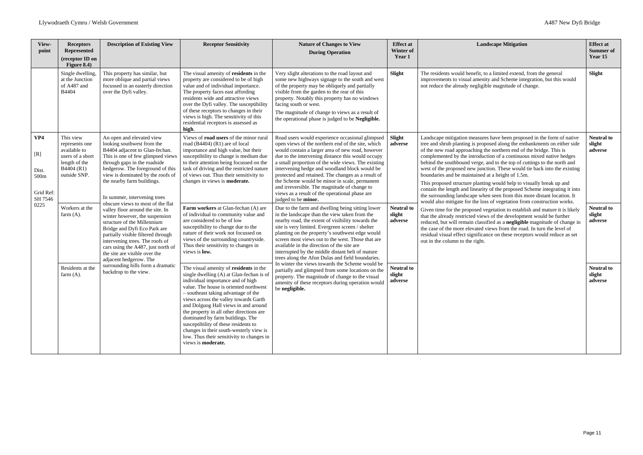| View-<br>point                                      | <b>Receptors</b><br><b>Represented</b><br>(receptor ID on<br>Figure $8.4$ )                                                                                                                                                                                                                                                                                                        | <b>Description of Existing View</b>                                                                                                                                                                                                                                                                   | <b>Receptor Sensitivity</b>                                                                                                                                                                                                                                                                                                                                                                                                                                                                                                     | <b>Nature of Changes to View</b><br><b>During Operation</b>                                                                                                                                                                                                                                                                                                                                                                                                                                                                                          | <b>Effect</b> at<br><b>Winter of</b><br>Year 1                                                                                                                                                                                                                                                                                                                                                                                 | <b>Landscape Mitigation</b>                                                                                                                                                                                                                                                                                                                                                                                                                                                                                                                                                                                                                                                                                                                                                                                                  | <b>Effect at</b><br><b>Summer of</b><br>Year 15 |
|-----------------------------------------------------|------------------------------------------------------------------------------------------------------------------------------------------------------------------------------------------------------------------------------------------------------------------------------------------------------------------------------------------------------------------------------------|-------------------------------------------------------------------------------------------------------------------------------------------------------------------------------------------------------------------------------------------------------------------------------------------------------|---------------------------------------------------------------------------------------------------------------------------------------------------------------------------------------------------------------------------------------------------------------------------------------------------------------------------------------------------------------------------------------------------------------------------------------------------------------------------------------------------------------------------------|------------------------------------------------------------------------------------------------------------------------------------------------------------------------------------------------------------------------------------------------------------------------------------------------------------------------------------------------------------------------------------------------------------------------------------------------------------------------------------------------------------------------------------------------------|--------------------------------------------------------------------------------------------------------------------------------------------------------------------------------------------------------------------------------------------------------------------------------------------------------------------------------------------------------------------------------------------------------------------------------|------------------------------------------------------------------------------------------------------------------------------------------------------------------------------------------------------------------------------------------------------------------------------------------------------------------------------------------------------------------------------------------------------------------------------------------------------------------------------------------------------------------------------------------------------------------------------------------------------------------------------------------------------------------------------------------------------------------------------------------------------------------------------------------------------------------------------|-------------------------------------------------|
|                                                     | Single dwelling,<br>at the Junction<br>of A487 and<br><b>B4404</b>                                                                                                                                                                                                                                                                                                                 | This property has similar, but<br>more oblique and partial views<br>focussed in an easterly direction<br>over the Dyfi valley.                                                                                                                                                                        | The visual amenity of residents in the<br>property are considered to be of high<br>value and of individual importance.<br>The property faces east affording<br>residents wide and attractive views<br>over the Dyfi valley. The susceptibility<br>of these receptors to changes in their<br>views is high. The sensitivity of this<br>residential receptors is assessed as<br>high.                                                                                                                                             | Very slight alterations to the road layout and<br>some new highways signage to the south and west<br>of the property may be obliquely and partially<br>visible from the garden to the rear of this<br>property. Notably this property has no windows<br>facing south or west.<br>The magnitude of change to views as a result of<br>the operational phase is judged to be Negligible.                                                                                                                                                                | Slight                                                                                                                                                                                                                                                                                                                                                                                                                         | The residents would benefit, to a limited extend, from the general<br>improvements to visual amenity and Scheme integration, but this would<br>not reduce the already negligible magnitude of change.                                                                                                                                                                                                                                                                                                                                                                                                                                                                                                                                                                                                                        | Slight                                          |
| VP4<br>[R]<br>Dist.<br>500m<br>Grid Ref:<br>SH 7546 | This view<br>represents one<br>available to<br>users of a short<br>length of the<br>B4404 (R1)<br>outside SNP.                                                                                                                                                                                                                                                                     | An open and elevated view<br>looking southwest from the<br>B4404 adjacent to Glan-fechan.<br>This is one of few glimpsed views<br>through gaps in the roadside<br>hedgerow. The foreground of this<br>view is dominated by the roofs of<br>the nearby farm buildings.<br>In summer, intervening trees | Views of <b>road users</b> of the minor rural<br>road $(B4404)$ (R1) are of local<br>importance and high value, but their<br>susceptibility to change is medium due<br>to their attention being focussed on the<br>task of driving and the restricted nature<br>of views out. Thus their sensitivity to<br>changes in views is <b>moderate.</b>                                                                                                                                                                                 | Road users would experience occasional glimpsed<br>open views of the northern end of the site, which<br>would contain a larger area of new road, however<br>due to the intervening distance this would occupy<br>a small proportion of the wide views. The existing<br>intervening hedge and woodland block would be<br>protected and retained. The changes as a result of<br>the Scheme would be minor in scale, permanent<br>and irreversible. The magnitude of change to<br>views as a result of the operational phase are<br>judged to be minor. | Slight<br>adverse                                                                                                                                                                                                                                                                                                                                                                                                              | Landscape mitigation measures have been proposed in the form of native<br>tree and shrub planting is proposed along the embankments on either side<br>of the new road approaching the northern end of the bridge. This is<br>complemented by the introduction of a continuous mixed native hedges<br>behind the southbound verge, and to the top of cuttings to the north and<br>west of the proposed new junction. These would tie back into the existing<br>boundaries and be maintained at a height of 1.5m.<br>This proposed structure planting would help to visually break up and<br>contain the length and linearity of the proposed Scheme integrating it into<br>the surrounding landscape when seen from this more distant location. It<br>would also mitigate for the loss of vegetation from construction works. | <b>Neutral to</b><br>slight<br>adverse          |
| 0225                                                | obscure views to most of the flat<br>Workers at the<br>valley floor around the site. In<br>farm $(A)$ .<br>winter however, the suspension<br>structure of the Millennium<br>Bridge and Dyfi Eco Park are<br>partially visible filtered through<br>intervening trees. The roofs of<br>cars using the A487, just north of<br>the site are visible over the<br>adjacent hedgerow. The | Farm workers at Glan-fechan (A) are<br>of individual to community value and<br>are considered to be of low<br>susceptibility to change due to the<br>nature of their work not focussed on<br>views of the surrounding countryside.<br>Thus their sensitivity to changes in<br>views is low.           | Due to the farm and dwelling being sitting lower<br>in the landscape than the view taken from the<br>nearby road, the extent of visibility towards the<br>site is very limited. Evergreen screen / shelter<br>planting on the property's southwest edge would<br>screen most views out to the west. Those that are<br>available in the direction of the site are<br>interrupted by the middle distant belt of mature<br>trees along the Afon Dulas and field boundaries.                                                        | <b>Neutral to</b><br>slight<br>adverse                                                                                                                                                                                                                                                                                                                                                                                                                                                                                                               | Given time for the proposed vegetation to establish and mature it is likely<br>that the already restricted views of the development would be further<br>reduced, but will remain classified as a negligible magnitude of change in<br>the case of the more elevated views from the road. In turn the level of<br>residual visual effect significance on these receptors would reduce as set<br>out in the column to the right. | <b>Neutral to</b><br>slight<br>adverse                                                                                                                                                                                                                                                                                                                                                                                                                                                                                                                                                                                                                                                                                                                                                                                       |                                                 |
|                                                     | Residents at the<br>farm $(A)$ .                                                                                                                                                                                                                                                                                                                                                   | surrounding hills form a dramatic<br>backdrop to the view.                                                                                                                                                                                                                                            | The visual amenity of residents in the<br>single dwelling (A) at Glan-fechan is of<br>individual importance and of high<br>value. The house is oriented northwest<br>- southeast taking advantage of the<br>views across the valley towards Garth<br>and Dolguog Hall views in and around<br>the property in all other directions are<br>dominated by farm buildings. The<br>susceptibility of these residents to<br>changes in their south-westerly view is<br>low. Thus their sensitivity to changes in<br>views is moderate. | In winter the views towards the Scheme would be<br>partially and glimpsed from some locations on the<br>property. The magnitude of change to the visual<br>amenity of these receptors during operation would<br>be negligible.                                                                                                                                                                                                                                                                                                                       | <b>Neutral to</b><br>slight<br>adverse                                                                                                                                                                                                                                                                                                                                                                                         |                                                                                                                                                                                                                                                                                                                                                                                                                                                                                                                                                                                                                                                                                                                                                                                                                              | <b>Neutral to</b><br>slight<br>adverse          |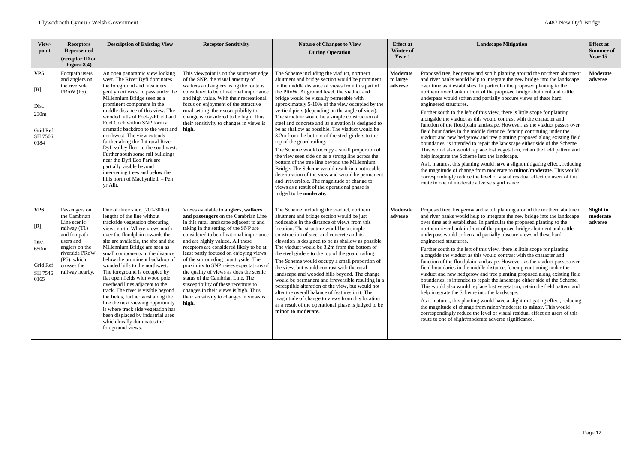| View-<br>point                                                          | <b>Receptors</b><br><b>Represented</b><br>(receptor ID on<br>Figure 8.4)                                                                                                          | <b>Description of Existing View</b>                                                                                                                                                                                                                                                                                                                                                                                                                                                                                                                                                                                                                                                                         | <b>Receptor Sensitivity</b>                                                                                                                                                                                                                                                                                                                                                                                                                                                                                                                                                                                                              | <b>Nature of Changes to View</b><br><b>During Operation</b>                                                                                                                                                                                                                                                                                                                                                                                                                                                                                                                                                                                                                                                                                                                                                                                                                                                                                                                              | <b>Effect at</b><br>Winter of<br>Year 1 | <b>Landscape Mitigation</b>                                                                                                                                                                                                                                                                                                                                                                                                                                                                                                                                                                                                                                                                                                                                                                                                                                                                                                                                                                                                                                                                                                                                                                                                                                                                                   | <b>Effect at</b><br><b>Summer of</b><br>Year 15 |
|-------------------------------------------------------------------------|-----------------------------------------------------------------------------------------------------------------------------------------------------------------------------------|-------------------------------------------------------------------------------------------------------------------------------------------------------------------------------------------------------------------------------------------------------------------------------------------------------------------------------------------------------------------------------------------------------------------------------------------------------------------------------------------------------------------------------------------------------------------------------------------------------------------------------------------------------------------------------------------------------------|------------------------------------------------------------------------------------------------------------------------------------------------------------------------------------------------------------------------------------------------------------------------------------------------------------------------------------------------------------------------------------------------------------------------------------------------------------------------------------------------------------------------------------------------------------------------------------------------------------------------------------------|------------------------------------------------------------------------------------------------------------------------------------------------------------------------------------------------------------------------------------------------------------------------------------------------------------------------------------------------------------------------------------------------------------------------------------------------------------------------------------------------------------------------------------------------------------------------------------------------------------------------------------------------------------------------------------------------------------------------------------------------------------------------------------------------------------------------------------------------------------------------------------------------------------------------------------------------------------------------------------------|-----------------------------------------|---------------------------------------------------------------------------------------------------------------------------------------------------------------------------------------------------------------------------------------------------------------------------------------------------------------------------------------------------------------------------------------------------------------------------------------------------------------------------------------------------------------------------------------------------------------------------------------------------------------------------------------------------------------------------------------------------------------------------------------------------------------------------------------------------------------------------------------------------------------------------------------------------------------------------------------------------------------------------------------------------------------------------------------------------------------------------------------------------------------------------------------------------------------------------------------------------------------------------------------------------------------------------------------------------------------|-------------------------------------------------|
| VP <sub>5</sub><br>[R]<br>Dist.<br>230m<br>Grid Ref:<br>SH 7506<br>0184 | Footpath users<br>and anglers on<br>the riverside<br>PRoW (P5).                                                                                                                   | An open panoramic view looking<br>west. The River Dyfi dominates<br>the foreground and meanders<br>gently northwest to pass under the<br>Millennium Bridge seen as a<br>prominent component in the<br>middle distance of this view. The<br>wooded hills of Foel-y-Ffridd and<br>Foel Goch within SNP form a<br>dramatic backdrop to the west and<br>northwest. The view extends<br>further along the flat rural River<br>Dyfi valley floor to the southwest.<br>Further south some rail buildings<br>near the Dyfi Eco Park are<br>partially visible beyond<br>intervening trees and below the<br>hills north of Machynlleth - Pen<br>yr Allt.                                                              | This viewpoint is on the southeast edge<br>of the SNP, the visual amenity of<br>walkers and anglers using the route is<br>considered to be of national importance<br>and high value. With their recreational<br>focus on enjoyment of the attractive<br>rural setting, their susceptibility to<br>change is considered to be high. Thus<br>their sensitivity to changes in views is<br>high.                                                                                                                                                                                                                                             | The Scheme including the viaduct, northern<br>abutment and bridge section would be prominent<br>in the middle distance of views from this part of<br>the PRoW. At ground level, the viaduct and<br>bridge would be visually permeable with<br>approximately 5-10% of the view occupied by the<br>vertical piers (depending on the angle of view).<br>The structure would be a simple construction of<br>steel and concrete and its elevation is designed to<br>be as shallow as possible. The viaduct would be<br>3.2m from the bottom of the steel girders to the<br>top of the guard railing.<br>The Scheme would occupy a small proportion of<br>the view seen side on as a strong line across the<br>bottom of the tree line beyond the Millennium<br>Bridge. The Scheme would result in a noticeable<br>deterioration of the view and would be permanent<br>and irreversible. The magnitude of change to<br>views as a result of the operational phase is<br>judged to be moderate. | Moderate<br>to large<br>adverse         | Proposed tree, hedgerow and scrub planting around the northern abutment<br>and river banks would help to integrate the new bridge into the landscape<br>over time as it establishes. In particular the proposed planting to the<br>northern river bank in front of the proposed bridge abutment and cattle<br>underpass would soften and partially obscure views of these hard<br>engineered structures.<br>Further south to the left of this view, there is little scope for planting<br>alongside the viaduct as this would contrast with the character and<br>function of the floodplain landscape. However, as the viaduct passes over<br>field boundaries in the middle distance, fencing continuing under the<br>viaduct and new hedgerow and tree planting proposed along existing field<br>boundaries, is intended to repair the landscape either side of the Scheme.<br>This would also would replace lost vegetation, retain the field pattern and<br>help integrate the Scheme into the landscape.<br>As it matures, this planting would have a slight mitigating effect, reducing<br>the magnitude of change from moderate to <b>minor/moderate</b> . This would<br>correspondingly reduce the level of visual residual effect on users of this<br>route to one of moderate adverse significance. | Moderate<br>adverse                             |
| VP <sub>6</sub><br>[R]<br>Dist.<br>650m<br>Grid Ref:<br>SH 7546<br>0165 | Passengers on<br>the Cambrian<br>Line scenic<br>railway (T1)<br>and footpath<br>users and<br>anglers on the<br>riverside PRoW<br>$(P5)$ , which<br>crosses the<br>railway nearby. | One of three short (200-300m)<br>lengths of the line without<br>trackside vegetation obscuring<br>views north. Where views north<br>over the floodplain towards the<br>site are available, the site and the<br>Millennium Bridge are seen as<br>small components in the distance<br>below the prominent backdrop of<br>wooded hills to the northwest.<br>The foreground is occupied by<br>flat open fields with wood pole<br>overhead lines adjacent to the<br>track. The river is visible beyond<br>the fields, further west along the<br>line the next viewing opportunity<br>is where track side vegetation has<br>been displaced by industrial uses<br>which locally dominates the<br>foreground views. | Views available to anglers, walkers<br>and passengers on the Cambrian Line<br>in this rural landscape adjacent to and<br>taking in the setting of the SNP are<br>considered to be of national importance<br>and are highly valued. All these<br>receptors are considered likely to be at<br>least partly focused on enjoying views<br>of the surrounding countryside. The<br>proximity to SNP raises expectations of<br>the quality of views as does the scenic<br>status of the Cambrian Line. The<br>susceptibility of these receptors to<br>changes in their views is high. Thus<br>their sensitivity to changes in views is<br>high. | The Scheme including the viaduct, northern<br>abutment and bridge section would be just<br>noticeable in the distance of views from this<br>location. The structure would be a simple<br>construction of steel and concrete and its<br>elevation is designed to be as shallow as possible.<br>The viaduct would be 3.2m from the bottom of<br>the steel girders to the top of the guard railing.<br>The Scheme would occupy a small proportion of<br>the view, but would contrast with the rural<br>landscape and wooded hills beyond. The change<br>would be permanent and irreversible resulting in a<br>perceptible alteration of the view, but would not<br>alter the overall balance of features in it. The<br>magnitude of change to views from this location<br>as a result of the operational phase is judged to be<br>minor to moderate.                                                                                                                                        | Moderate<br>adverse                     | Proposed tree, hedgerow and scrub planting around the northern abutment<br>and river banks would help to integrate the new bridge into the landscape<br>over time as it establishes. In particular the proposed planting to the<br>northern river bank in front of the proposed bridge abutment and cattle<br>underpass would soften and partially obscure views of these hard<br>engineered structures.<br>Further south to the left of this view, there is little scope for planting<br>alongside the viaduct as this would contrast with the character and<br>function of the floodplain landscape. However, as the viaduct passes over<br>field boundaries in the middle distance, fencing continuing under the<br>viaduct and new hedgerow and tree planting proposed along existing field<br>boundaries, is intended to repair the landscape either side of the Scheme.<br>This would also would replace lost vegetation, retain the field pattern and<br>help integrate the Scheme into the landscape.<br>As it matures, this planting would have a slight mitigating effect, reducing<br>the magnitude of change from minor/moderate to minor. This would<br>correspondingly reduce the level of visual residual effect on users of this<br>route to one of slight/moderate adverse significance.     | Slight to<br>moderate<br>adverse                |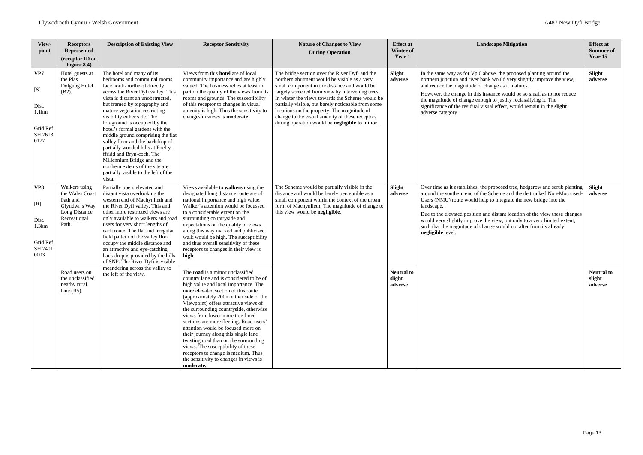| View-<br>point                                               | <b>Receptors</b><br><b>Represented</b><br>(receptor ID on<br>Figure 8.4)                                | <b>Description of Existing View</b>                                                                                                                                                                                                                                                                                                                                                                                                                                                                                                                                                                    | <b>Receptor Sensitivity</b>                                                                                                                                                                                                                                                                                                                                                                                                                                                                                                                                                                                                       | <b>Nature of Changes to View</b><br><b>During Operation</b>                                                                                                                                                                                                                                                                                                                                                                                                     | <b>Effect at</b><br>Winter of<br>Year 1 | <b>Landscape Mitigation</b>                                                                                                                                                                                                                                                                                                                                        |
|--------------------------------------------------------------|---------------------------------------------------------------------------------------------------------|--------------------------------------------------------------------------------------------------------------------------------------------------------------------------------------------------------------------------------------------------------------------------------------------------------------------------------------------------------------------------------------------------------------------------------------------------------------------------------------------------------------------------------------------------------------------------------------------------------|-----------------------------------------------------------------------------------------------------------------------------------------------------------------------------------------------------------------------------------------------------------------------------------------------------------------------------------------------------------------------------------------------------------------------------------------------------------------------------------------------------------------------------------------------------------------------------------------------------------------------------------|-----------------------------------------------------------------------------------------------------------------------------------------------------------------------------------------------------------------------------------------------------------------------------------------------------------------------------------------------------------------------------------------------------------------------------------------------------------------|-----------------------------------------|--------------------------------------------------------------------------------------------------------------------------------------------------------------------------------------------------------------------------------------------------------------------------------------------------------------------------------------------------------------------|
| VP7<br>[S]<br>Dist.<br>1.1km<br>Grid Ref:<br>SH 7613<br>0177 | Hotel guests at<br>the Plas<br>Dolguog Hotel<br>$(B2)$ .                                                | The hotel and many of its<br>bedrooms and communal rooms<br>face north-northeast directly<br>across the River Dyfi valley. This<br>vista is distant an unobstructed,<br>but framed by topography and<br>mature vegetation restricting<br>visibility either side. The<br>foreground is occupied by the<br>hotel's formal gardens with the<br>middle ground comprising the flat<br>valley floor and the backdrop of<br>partially wooded hills at Foel-y-<br>ffridd and Bryn-coch. The<br>Millennium Bridge and the<br>northern extents of the site are<br>partially visible to the left of the<br>vista. | Views from this <b>hotel</b> are of local<br>community importance and are highly<br>valued. The business relies at least in<br>part on the quality of the views from its<br>rooms and grounds. The susceptibility<br>of this receptor to changes in visual<br>amenity is high. Thus the sensitivity to<br>changes in views is <b>moderate.</b>                                                                                                                                                                                                                                                                                    | The bridge section over the River Dyfi and the<br>northern abutment would be visible as a very<br>small component in the distance and would be<br>largely screened from view by intervening trees.<br>In winter the views towards the Scheme would be<br>partially visible, but barely noticeable from some<br>locations on the property. The magnitude of<br>change to the visual amenity of these receptors<br>during operation would be negligible to minor. | Slight<br>adverse                       | In the same way as for Vp 6 above, the proposed p<br>northern junction and river bank would very slight<br>and reduce the magnitude of change as it matures.<br>However, the change in this instance would be so<br>the magnitude of change enough to justify reclassi<br>significance of the residual visual effect, would rea<br>adverse category                |
| VP8<br>[R]<br>Dist.<br>1.3km<br>Grid Ref:<br>SH 7401<br>0003 | Walkers using<br>the Wales Coast<br>Path and<br>Glyndwr's Way<br>Long Distance<br>Recreational<br>Path. | Partially open, elevated and<br>distant vista overlooking the<br>western end of Machynlleth and<br>the River Dyfi valley. This and<br>other more restricted views are<br>only available to walkers and road<br>users for very short lengths of<br>each route. The flat and irregular<br>field pattern of the valley floor<br>occupy the middle distance and<br>an attractive and eye-catching<br>back drop is provided by the hills<br>of SNP. The River Dyfi is visible<br>meandering across the valley to                                                                                            | Views available to walkers using the<br>designated long distance route are of<br>national importance and high value.<br>Walker's attention would be focussed<br>to a considerable extent on the<br>surrounding countryside and<br>expectations on the quality of views<br>along this way marked and publicised<br>walk would be high. The susceptibility<br>and thus overall sensitivity of these<br>receptors to changes in their view is<br>high.                                                                                                                                                                               | The Scheme would be partially visible in the<br>distance and would be barely perceptible as a<br>small component within the context of the urban<br>form of Machynlleth. The magnitude of change to<br>this view would be negligible.                                                                                                                                                                                                                           | Slight<br>adverse                       | Over time as it establishes, the proposed tree, hedg<br>around the southern end of the Scheme and the de<br>Users (NMU) route would help to integrate the net<br>landscape.<br>Due to the elevated position and distant location of<br>would very slightly improve the view, but only to<br>such that the magnitude of change would not alter<br>negligible level. |
|                                                              | Road users on<br>the unclassified<br>nearby rural<br>lane $(R5)$ .                                      | the left of the view.                                                                                                                                                                                                                                                                                                                                                                                                                                                                                                                                                                                  | The road is a minor unclassified<br>country lane and is considered to be of<br>high value and local importance. The<br>more elevated section of this route<br>(approximately 200m either side of the<br>Viewpoint) offers attractive views of<br>the surrounding countryside, otherwise<br>views from lower more tree-lined<br>sections are more fleeting. Road users'<br>attention would be focused more on<br>their journey along this single lane<br>twisting road than on the surrounding<br>views. The susceptibility of these<br>receptors to change is medium. Thus<br>the sensitivity to changes in views is<br>moderate. |                                                                                                                                                                                                                                                                                                                                                                                                                                                                 | <b>Neutral to</b><br>slight<br>adverse  |                                                                                                                                                                                                                                                                                                                                                                    |

| <b>Landscape Mitigation</b>                                                                                                                                                                                                                                                                                                                                                                                                                                                                     | <b>Effect</b> at<br><b>Summer of</b><br>Year 15 |
|-------------------------------------------------------------------------------------------------------------------------------------------------------------------------------------------------------------------------------------------------------------------------------------------------------------------------------------------------------------------------------------------------------------------------------------------------------------------------------------------------|-------------------------------------------------|
| In the same way as for Vp 6 above, the proposed planting around the<br>northern junction and river bank would very slightly improve the view,<br>and reduce the magnitude of change as it matures.                                                                                                                                                                                                                                                                                              | Slight<br>adverse                               |
| However, the change in this instance would be so small as to not reduce<br>the magnitude of change enough to justify reclassifying it. The<br>significance of the residual visual effect, would remain in the slight<br>adverse category                                                                                                                                                                                                                                                        |                                                 |
| Over time as it establishes, the proposed tree, hedgerow and scrub planting<br>around the southern end of the Scheme and the de trunked Non-Motorised-<br>Users (NMU) route would help to integrate the new bridge into the<br>landscape.<br>Due to the elevated position and distant location of the view these changes<br>would very slightly improve the view, but only to a very limited extent,<br>such that the magnitude of change would not alter from its already<br>negligible level. | Slight<br>adverse                               |
|                                                                                                                                                                                                                                                                                                                                                                                                                                                                                                 | <b>Neutral to</b><br>slight<br>adverse          |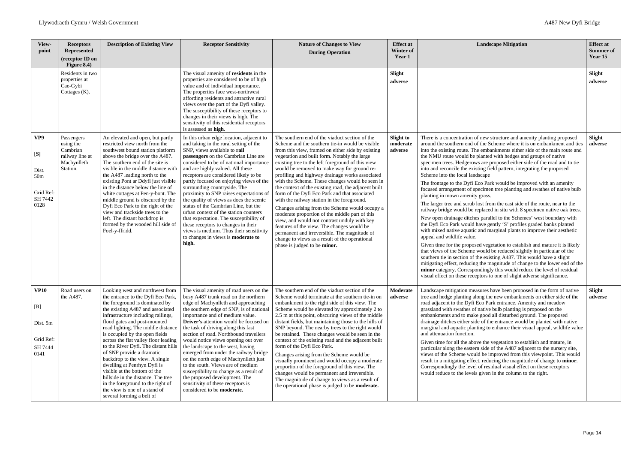| View-<br>point                                                         | <b>Receptors</b><br><b>Represented</b><br>(receptor ID on<br>Figure 8.4)          | <b>Description of Existing View</b>                                                                                                                                                                                                                                                                                                                                                                                                                                                                                                                                                                                                              | <b>Receptor Sensitivity</b>                                                                                                                                                                                                                                                                                                                                                                                                                                                                                                                                                                                                                                                                                            | <b>Nature of Changes to View</b><br><b>During Operation</b>                                                                                                                                                                                                                                                                                                                                                                                                                                                                                                                                                                                                                                                                                                                                                                                                                                                  | <b>Effect at</b><br>Winter of<br>Year 1 | <b>Landscape Mitigation</b>                                                                                                                                                                                                                                                                                                                                                                                                                                                                                                                                                                                                                                                                                                                                                                                                                                                                                                                                                                                                                                                                                                                                                                                                                                                                                                                                                                                                                                                                                                                                                             | <b>Effect at</b><br><b>Summer</b> of<br>Year 15 |
|------------------------------------------------------------------------|-----------------------------------------------------------------------------------|--------------------------------------------------------------------------------------------------------------------------------------------------------------------------------------------------------------------------------------------------------------------------------------------------------------------------------------------------------------------------------------------------------------------------------------------------------------------------------------------------------------------------------------------------------------------------------------------------------------------------------------------------|------------------------------------------------------------------------------------------------------------------------------------------------------------------------------------------------------------------------------------------------------------------------------------------------------------------------------------------------------------------------------------------------------------------------------------------------------------------------------------------------------------------------------------------------------------------------------------------------------------------------------------------------------------------------------------------------------------------------|--------------------------------------------------------------------------------------------------------------------------------------------------------------------------------------------------------------------------------------------------------------------------------------------------------------------------------------------------------------------------------------------------------------------------------------------------------------------------------------------------------------------------------------------------------------------------------------------------------------------------------------------------------------------------------------------------------------------------------------------------------------------------------------------------------------------------------------------------------------------------------------------------------------|-----------------------------------------|-----------------------------------------------------------------------------------------------------------------------------------------------------------------------------------------------------------------------------------------------------------------------------------------------------------------------------------------------------------------------------------------------------------------------------------------------------------------------------------------------------------------------------------------------------------------------------------------------------------------------------------------------------------------------------------------------------------------------------------------------------------------------------------------------------------------------------------------------------------------------------------------------------------------------------------------------------------------------------------------------------------------------------------------------------------------------------------------------------------------------------------------------------------------------------------------------------------------------------------------------------------------------------------------------------------------------------------------------------------------------------------------------------------------------------------------------------------------------------------------------------------------------------------------------------------------------------------------|-------------------------------------------------|
|                                                                        | Residents in two<br>properties at<br>Cae-Gybi<br>Cottages $(K)$ .                 |                                                                                                                                                                                                                                                                                                                                                                                                                                                                                                                                                                                                                                                  | The visual amenity of residents in the<br>properties are considered to be of high<br>value and of individual importance.<br>The properties face west-northwest<br>affording residents and attractive rural<br>views over the part of the Dyfi valley.<br>The susceptibility of these receptors to<br>changes in their views is high. The<br>sensitivity of this residential receptors<br>is assessed as high.                                                                                                                                                                                                                                                                                                          |                                                                                                                                                                                                                                                                                                                                                                                                                                                                                                                                                                                                                                                                                                                                                                                                                                                                                                              | Slight<br>adverse                       |                                                                                                                                                                                                                                                                                                                                                                                                                                                                                                                                                                                                                                                                                                                                                                                                                                                                                                                                                                                                                                                                                                                                                                                                                                                                                                                                                                                                                                                                                                                                                                                         | Slight<br>adverse                               |
| VP9<br>[S]<br>Dist.<br>50 <sub>m</sub><br>Grid Ref:<br>SH 7442<br>0128 | Passengers<br>using the<br>Cambrian<br>railway line at<br>Machynlleth<br>Station. | An elevated and open, but partly<br>restricted view north from the<br>southwest bound station platform<br>above the bridge over the A487.<br>The southern end of the site is<br>visible in the middle distance with<br>the A487 leading north to the<br>existing Pont ar Ddyfi just visible<br>in the distance below the line of<br>white cottages at Pen-y-bont. The<br>middle ground is obscured by the<br>Dyfi Eco Park to the right of the<br>view and trackside trees to the<br>left. The distant backdrop is<br>formed by the wooded hill side of<br>Foel-y-ffridd.                                                                        | In this urban edge location, adjacent to<br>and taking in the rural setting of the<br>SNP, views available to rail<br>passengers on the Cambrian Line are<br>considered to be of national importance<br>and are highly valued. All these<br>receptors are considered likely to be<br>partly focused on enjoying views of the<br>surrounding countryside. The<br>proximity to SNP raises expectations of<br>the quality of views as does the scenic<br>status of the Cambrian Line, but the<br>urban context of the station counters<br>that expectation. The susceptibility of<br>these receptors to changes in their<br>views is medium. Thus their sensitivity<br>to changes in views is <b>moderate to</b><br>high. | The southern end of the viaduct section of the<br>Scheme and the southern tie-in would be visible<br>from this view, framed on either side by existing<br>vegetation and built form. Notably the large<br>existing tree to the left foreground of this view<br>would be removed to make way for ground re-<br>profiling and highway drainage works associated<br>with the Scheme. These changes would be seen in<br>the context of the existing road, the adjacent built<br>form of the Dyfi Eco Park and that associated<br>with the railway station in the foreground.<br>Changes arising from the Scheme would occupy a<br>moderate proportion of the middle part of this<br>view, and would not contrast unduly with key<br>features of the view. The changes would be<br>permanent and irreversible. The magnitude of<br>change to views as a result of the operational<br>phase is judged to be minor. | <b>Slight to</b><br>moderate<br>adverse | There is a concentration of new structure and amenity planting proposed<br>around the southern end of the Scheme where it is on embankment and ties<br>into the existing route. The embankments either side of the main route and<br>the NMU route would be planted with hedges and groups of native<br>specimen trees. Hedgerows are proposed either side of the road and to tie<br>into and reconcile the existing field pattern, integrating the proposed<br>Scheme into the local landscape<br>The frontage to the Dyfi Eco Park would be improved with an amenity<br>focused arrangement of specimen tree planting and swathes of native bulb<br>planting in mown amenity grass.<br>The larger tree and scrub lost from the east side of the route, near to the<br>railway bridge would be replaced in situ with 8 specimen native oak trees.<br>New open drainage ditches parallel to the Schemes' west boundary with<br>the Dyfi Eco Park would have gently 'S' profiles graded banks planted<br>with mixed native aquatic and marginal plants to improve their aesthetic<br>appeal and wildlife value.<br>Given time for the proposed vegetation to establish and mature it is likely<br>that views of the Scheme would be reduced slightly in particular of the<br>southern tie in section of the existing A487. This would have a slight<br>mitigating effect, reducing the magnitude of change to the lower end of the<br>minor category. Correspondingly this would reduce the level of residual<br>visual effect on these receptors to one of slight adverse significance. | Slight<br>adverse                               |
| <b>VP10</b><br>[R]<br>Dist. 5m<br>Grid Ref:<br>SH 7444<br>0141         | Road users on<br>the A487.                                                        | Looking west and northwest from<br>the entrance to the Dyfi Eco Park,<br>the foreground is dominated by<br>the existing A487 and associated<br>infrastructure including railings,<br>flood gates and post-mounted<br>road lighting. The middle distance<br>is occupied by the open fields<br>across the flat valley floor leading<br>to the River Dyfi. The distant hills<br>of SNP provide a dramatic<br>backdrop to the view. A single<br>dwelling at Penrhyn Dyfi is<br>visible at the bottom of the<br>hillside in the distance. The tree<br>in the foreground to the right of<br>the view is one of a stand of<br>several forming a belt of | The visual amenity of road users on the<br>busy A487 trunk road on the northern<br>edge of Machynlleth and approaching<br>the southern edge of SNP, is of national<br>importance and of medium value.<br><b>Driver's</b> attention would be focused on<br>the task of driving along this fast<br>section of road. Northbound travellers<br>would notice views opening out over<br>the landscape to the west, having<br>emerged from under the railway bridge<br>on the north edge of Machynlleth just<br>to the south. Views are of medium<br>susceptibility to change as a result of<br>the proposed development. The<br>sensitivity of these receptors is<br>considered to be moderate.                              | The southern end of the viaduct section of the<br>Scheme would terminate at the southern tie-in on<br>embankment to the right side of this view. The<br>Scheme would be elevated by approximately 2 to<br>2.5 m at this point, obscuring views of the middle<br>distant fields, but maintaining those to the hills of<br>SNP beyond. The nearby trees to the right would<br>be retained. These changes would be seen in the<br>context of the existing road and the adjacent built<br>form of the Dyfi Eco Park.<br>Changes arising from the Scheme would be<br>visually prominent and would occupy a moderate<br>proportion of the foreground of this view. The<br>changes would be permanent and irreversible.<br>The magnitude of change to views as a result of<br>the operational phase is judged to be <b>moderate.</b>                                                                                | Moderate<br>adverse                     | Landscape mitigation measures have been proposed in the form of native<br>tree and hedge planting along the new embankments on either side of the<br>road adjacent to the Dyfi Eco Park entrance. Amenity and meadow<br>grassland with swathes of native bulb planting is proposed on the<br>embankments and to make good all disturbed ground. The proposed<br>drainage ditches either side of the entrance would be planted with native<br>marginal and aquatic planting to enhance their visual appeal, wildlife value<br>and attenuation function.<br>Given time for all the above the vegetation to establish and mature, in<br>particular along the eastern side of the A487 adjacent to the nursery site,<br>views of the Scheme would be improved from this viewpoint. This would<br>result in a mitigating effect, reducing the magnitude of change to minor.<br>Correspondingly the level of residual visual effect on these receptors<br>would reduce to the levels given in the column to the right.                                                                                                                                                                                                                                                                                                                                                                                                                                                                                                                                                                        | Slight<br>adverse                               |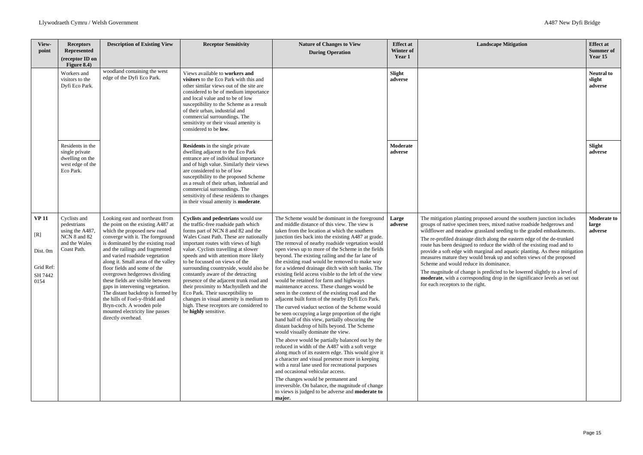| <b>Landscape Mitigation</b>                                                                                                                                                                                                                                                                                                                                                                                                                                                                                                                                                                                                                                                                                                                                               | <b>Effect</b> at<br><b>Summer of</b><br>Year 15 |
|---------------------------------------------------------------------------------------------------------------------------------------------------------------------------------------------------------------------------------------------------------------------------------------------------------------------------------------------------------------------------------------------------------------------------------------------------------------------------------------------------------------------------------------------------------------------------------------------------------------------------------------------------------------------------------------------------------------------------------------------------------------------------|-------------------------------------------------|
|                                                                                                                                                                                                                                                                                                                                                                                                                                                                                                                                                                                                                                                                                                                                                                           | <b>Neutral to</b><br>slight<br>adverse          |
|                                                                                                                                                                                                                                                                                                                                                                                                                                                                                                                                                                                                                                                                                                                                                                           | Slight<br>adverse                               |
| The mitigation planting proposed around the southern junction includes<br>groups of native specimen trees, mixed native roadside hedgerows and<br>wildflower and meadow grassland seeding to the graded embankments.<br>The re-profiled drainage ditch along the eastern edge of the de-trunked<br>route has been designed to reduce the width of the existing road and to<br>provide a soft edge with marginal and aquatic planting. As these mitigation<br>measures mature they would break up and soften views of the proposed<br>Scheme and would reduce its dominance.<br>The magnitude of change is predicted to be lowered slightly to a level of<br>moderate, with a corresponding drop in the significance levels as set out<br>for each receptors to the right. | <b>Moderate to</b><br>large<br>adverse          |

| View-<br>point                                                  | <b>Receptors</b><br><b>Represented</b><br>(receptor ID on<br>Figure 8.4)                       | <b>Description of Existing View</b>                                                                                                                                                                                                                                                                                                                                                                                                                                                                                                                                                         | <b>Receptor Sensitivity</b>                                                                                                                                                                                                                                                                                                                                                                                                                                                                                                                                                                                                                 | <b>Nature of Changes to View</b><br><b>During Operation</b>                                                                                                                                                                                                                                                                                                                                                                                                                                                                                                                                                                                                                                                                                                                                                                                                                                                                                                                                                                                                                                                                                                                                                                                                                                                                                                                                                                                                | <b>Effect at</b><br>Winter of<br>Year 1 | <b>Landscape Mit</b>                                                                                                                                                                                                                                                                                                                                                                                                                                                                          |
|-----------------------------------------------------------------|------------------------------------------------------------------------------------------------|---------------------------------------------------------------------------------------------------------------------------------------------------------------------------------------------------------------------------------------------------------------------------------------------------------------------------------------------------------------------------------------------------------------------------------------------------------------------------------------------------------------------------------------------------------------------------------------------|---------------------------------------------------------------------------------------------------------------------------------------------------------------------------------------------------------------------------------------------------------------------------------------------------------------------------------------------------------------------------------------------------------------------------------------------------------------------------------------------------------------------------------------------------------------------------------------------------------------------------------------------|------------------------------------------------------------------------------------------------------------------------------------------------------------------------------------------------------------------------------------------------------------------------------------------------------------------------------------------------------------------------------------------------------------------------------------------------------------------------------------------------------------------------------------------------------------------------------------------------------------------------------------------------------------------------------------------------------------------------------------------------------------------------------------------------------------------------------------------------------------------------------------------------------------------------------------------------------------------------------------------------------------------------------------------------------------------------------------------------------------------------------------------------------------------------------------------------------------------------------------------------------------------------------------------------------------------------------------------------------------------------------------------------------------------------------------------------------------|-----------------------------------------|-----------------------------------------------------------------------------------------------------------------------------------------------------------------------------------------------------------------------------------------------------------------------------------------------------------------------------------------------------------------------------------------------------------------------------------------------------------------------------------------------|
|                                                                 | Workers and<br>visitors to the<br>Dyfi Eco Park.                                               | woodland containing the west<br>edge of the Dyfi Eco Park.                                                                                                                                                                                                                                                                                                                                                                                                                                                                                                                                  | Views available to workers and<br>visitors to the Eco Park with this and<br>other similar views out of the site are<br>considered to be of medium importance<br>and local value and to be of low<br>susceptibility to the Scheme as a result<br>of their urban, industrial and<br>commercial surroundings. The<br>sensitivity or their visual amenity is<br>considered to be low.                                                                                                                                                                                                                                                           |                                                                                                                                                                                                                                                                                                                                                                                                                                                                                                                                                                                                                                                                                                                                                                                                                                                                                                                                                                                                                                                                                                                                                                                                                                                                                                                                                                                                                                                            | Slight<br>adverse                       |                                                                                                                                                                                                                                                                                                                                                                                                                                                                                               |
|                                                                 | Residents in the<br>single private<br>dwelling on the<br>west edge of the<br>Eco Park.         |                                                                                                                                                                                                                                                                                                                                                                                                                                                                                                                                                                                             | <b>Residents</b> in the single private<br>dwelling adjacent to the Eco Park<br>entrance are of individual importance<br>and of high value. Similarly their views<br>are considered to be of low<br>susceptibility to the proposed Scheme<br>as a result of their urban, industrial and<br>commercial surroundings. The<br>sensitivity of these residents to changes<br>in their visual amenity is <b>moderate</b> .                                                                                                                                                                                                                         |                                                                                                                                                                                                                                                                                                                                                                                                                                                                                                                                                                                                                                                                                                                                                                                                                                                                                                                                                                                                                                                                                                                                                                                                                                                                                                                                                                                                                                                            | Moderate<br>adverse                     |                                                                                                                                                                                                                                                                                                                                                                                                                                                                                               |
| <b>VP 11</b><br>[R]<br>Dist. 0m<br>Grid Ref:<br>SH 7442<br>0154 | Cyclists and<br>pedestrians<br>using the A487,<br>NCN 8 and 82<br>and the Wales<br>Coast Path. | Looking east and northeast from<br>the point on the existing A487 at<br>which the proposed new road<br>converge with it. The foreground<br>is dominated by the existing road<br>and the railings and fragmented<br>and varied roadside vegetation<br>along it. Small areas of the valley<br>floor fields and some of the<br>overgrown hedgerows dividing<br>these fields are visible between<br>gaps in intervening vegetation.<br>The distant backdrop is formed by<br>the hills of Foel-y-ffridd and<br>Bryn-coch. A wooden pole<br>mounted electricity line passes<br>directly overhead. | Cyclists and pedestrians would use<br>the traffic-free roadside path which<br>forms part of NCN 8 and 82 and the<br>Wales Coast Path. These are nationally<br>important routes with views of high<br>value. Cyclists travelling at slower<br>speeds and with attention more likely<br>to be focussed on views of the<br>surrounding countryside, would also be<br>constantly aware of the detracting<br>presence of the adjacent trunk road and<br>their proximity to Machynlleth and the<br>Eco Park. Their susceptibility to<br>changes in visual amenity is medium to<br>high. These receptors are considered to<br>be highly sensitive. | The Scheme would be dominant in the foreground<br>and middle distance of this view. The view is<br>taken from the location at which the southern<br>junction ties back into the existing A487 at grade.<br>The removal of nearby roadside vegetation would<br>open views up to more of the Scheme in the fields<br>beyond. The existing railing and the far lane of<br>the existing road would be removed to make way<br>for a widened drainage ditch with soft banks. The<br>existing field access visible to the left of the view<br>would be retained for farm and highways<br>maintenance access. These changes would be<br>seen in the context of the existing road and the<br>adjacent built form of the nearby Dyfi Eco Park.<br>The curved viaduct section of the Scheme would<br>be seen occupying a large proportion of the right<br>hand half of this view, partially obscuring the<br>distant backdrop of hills beyond. The Scheme<br>would visually dominate the view.<br>The above would be partially balanced out by the<br>reduced in width of the A487 with a soft verge<br>along much of its eastern edge. This would give it<br>a character and visual presence more in keeping<br>with a rural lane used for recreational purposes<br>and occasional vehicular access.<br>The changes would be permanent and<br>irreversible. On balance, the magnitude of change<br>to views is judged to be adverse and <b>moderate to</b><br>major. | Large<br>adverse                        | The mitigation planting proposed around t<br>groups of native specimen trees, mixed na<br>wildflower and meadow grassland seeding<br>The re-profiled drainage ditch along the ea<br>route has been designed to reduce the wid<br>provide a soft edge with marginal and aqu<br>measures mature they would break up and<br>Scheme and would reduce its dominance.<br>The magnitude of change is predicted to b<br>moderate, with a corresponding drop in th<br>for each receptors to the right. |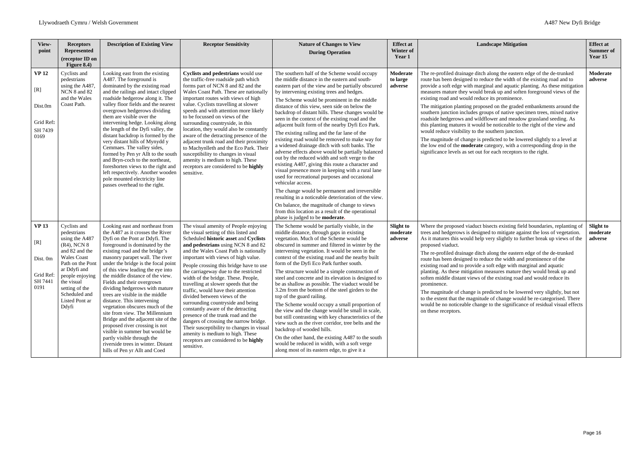| View-<br>point                                                  | <b>Receptors</b><br><b>Represented</b><br>(receptor ID on<br>Figure 8.4)                                                                                                                                                                   | <b>Description of Existing View</b>                                                                                                                                                                                                                                                                                                                                                                                                                                                                                                                                                                                                                                                                                                                | <b>Receptor Sensitivity</b>                                                                                                                                                                                                                                                                                                                                                                                                                                                                                                                                                                                                                                                                                                                                                                 | <b>Nature of Changes to View</b><br><b>During Operation</b>                                                                                                                                                                                                                                                                                                                                                                                                                                                                                                                                                                                                                                                                                                                                                                                                                                                                                                                                                      | <b>Effect</b> at<br>Winter of<br>Year 1 | <b>Landscape Mitigation</b>                                                                                                                                                                                                                                                                                                                                                                                                                                                                                                                                                                                                                                                                                                                                                                                                                                                                                                                                 | <b>Effect at</b><br><b>Summer of</b><br>Year 15 |
|-----------------------------------------------------------------|--------------------------------------------------------------------------------------------------------------------------------------------------------------------------------------------------------------------------------------------|----------------------------------------------------------------------------------------------------------------------------------------------------------------------------------------------------------------------------------------------------------------------------------------------------------------------------------------------------------------------------------------------------------------------------------------------------------------------------------------------------------------------------------------------------------------------------------------------------------------------------------------------------------------------------------------------------------------------------------------------------|---------------------------------------------------------------------------------------------------------------------------------------------------------------------------------------------------------------------------------------------------------------------------------------------------------------------------------------------------------------------------------------------------------------------------------------------------------------------------------------------------------------------------------------------------------------------------------------------------------------------------------------------------------------------------------------------------------------------------------------------------------------------------------------------|------------------------------------------------------------------------------------------------------------------------------------------------------------------------------------------------------------------------------------------------------------------------------------------------------------------------------------------------------------------------------------------------------------------------------------------------------------------------------------------------------------------------------------------------------------------------------------------------------------------------------------------------------------------------------------------------------------------------------------------------------------------------------------------------------------------------------------------------------------------------------------------------------------------------------------------------------------------------------------------------------------------|-----------------------------------------|-------------------------------------------------------------------------------------------------------------------------------------------------------------------------------------------------------------------------------------------------------------------------------------------------------------------------------------------------------------------------------------------------------------------------------------------------------------------------------------------------------------------------------------------------------------------------------------------------------------------------------------------------------------------------------------------------------------------------------------------------------------------------------------------------------------------------------------------------------------------------------------------------------------------------------------------------------------|-------------------------------------------------|
| <b>VP 12</b><br>[R]<br>Dist.0m<br>Grid Ref:<br>SH 7439<br>0169  | Cyclists and<br>pedestrians<br>using the A487,<br>NCN 8 and 82<br>and the Wales<br>Coast Path.                                                                                                                                             | Looking east from the existing<br>A487. The foreground is<br>dominated by the existing road<br>and the railings and intact clipped<br>roadside hedgerow along it. The<br>valley floor fields and the nearest<br>overgrown hedgerows dividing<br>them are visible over the<br>intervening hedge. Looking along<br>the length of the Dyfi valley, the<br>distant backdrop is formed by the<br>very distant hills of Mynydd y<br>Cemmaes. The valley sides,<br>formed by Pen yr Allt to the south<br>and Bryn-coch to the northeast,<br>foreshorten views to the right and<br>left respectively. Another wooden<br>pole mounted electricity line<br>passes overhead to the right.                                                                     | Cyclists and pedestrians would use<br>the traffic-free roadside path which<br>forms part of NCN 8 and 82 and the<br>Wales Coast Path. These are nationally<br>important routes with views of high<br>value. Cyclists travelling at slower<br>speeds and with attention more likely<br>to be focussed on views of the<br>surrounding countryside, in this<br>location, they would also be constantly<br>aware of the detracting presence of the<br>adjacent trunk road and their proximity<br>to Machynlleth and the Eco Park. Their<br>susceptibility to changes in visual<br>amenity is medium to high. These<br>receptors are considered to be highly<br>sensitive.                                                                                                                       | The southern half of the Scheme would occupy<br>the middle distance in the eastern and south-<br>eastern part of the view and be partially obscured<br>by intervening existing trees and hedges.<br>The Scheme would be prominent in the middle<br>distance of this view, seen side on below the<br>backdrop of distant hills. These changes would be<br>seen in the context of the existing road and the<br>adjacent built form of the nearby Dyfi Eco Park.<br>The existing railing and the far lane of the<br>existing road would be removed to make way for<br>a widened drainage ditch with soft banks. The<br>adverse effects above would be partially balanced<br>out by the reduced width and soft verge to the<br>existing A487, giving this route a character and<br>visual presence more in keeping with a rural lane<br>used for recreational purposes and occasional<br>vehicular access.<br>The change would be permanent and irreversible<br>resulting in a noticeable deterioration of the view. | Moderate<br>to large<br>adverse         | The re-profiled drainage ditch along the eastern edge of the de-trunked<br>route has been designed to reduce the width of the existing road and to<br>provide a soft edge with marginal and aquatic planting. As these mitigation<br>measures mature they would break up and soften foreground views of the<br>existing road and would reduce its prominence.<br>The mitigation planting proposed on the graded embankments around the<br>southern junction includes groups of native specimen trees, mixed native<br>roadside hedgerows and wildflower and meadow grassland seeding. As<br>this planting matures it would be noticeable to the right of the view and<br>would reduce visibility to the southern junction.<br>The magnitude of change is predicted to be lowered slightly to a level at<br>the low end of the <b>moderate</b> category, with a corresponding drop in the<br>significance levels as set out for each receptors to the right. | Moderate<br>adverse                             |
|                                                                 |                                                                                                                                                                                                                                            |                                                                                                                                                                                                                                                                                                                                                                                                                                                                                                                                                                                                                                                                                                                                                    |                                                                                                                                                                                                                                                                                                                                                                                                                                                                                                                                                                                                                                                                                                                                                                                             | On balance, the magnitude of change to views<br>from this location as a result of the operational<br>phase is judged to be <b>moderate.</b>                                                                                                                                                                                                                                                                                                                                                                                                                                                                                                                                                                                                                                                                                                                                                                                                                                                                      |                                         |                                                                                                                                                                                                                                                                                                                                                                                                                                                                                                                                                                                                                                                                                                                                                                                                                                                                                                                                                             |                                                 |
| <b>VP 13</b><br>[R]<br>Dist. 0m<br>Grid Ref:<br>SH 7441<br>0191 | Cyclists and<br>pedestrians<br>using the A487<br>$(R4)$ , NCN 8<br>and 82 and the<br><b>Wales</b> Coast<br>Path on the Pont<br>ar Ddyfi and<br>people enjoying<br>the visual<br>setting of the<br>Scheduled and<br>Listed Pont ar<br>Ddyfi | Looking east and northeast from<br>the A487 as it crosses the River<br>Dyfi on the Pont ar Ddyfi. The<br>foreground is dominated by the<br>existing road and the bridge's<br>masonry parapet wall. The river<br>under the bridge is the focal point<br>of this view leading the eye into<br>the middle distance of the view.<br>Fields and their overgrown<br>dividing hedgerows with mature<br>trees are visible in the middle<br>distance. This intervening<br>vegetation obscures much of the<br>site from view. The Millennium<br>Bridge and the adjacent site of the<br>proposed river crossing is not<br>visible in summer but would be<br>partly visible through the<br>riverside trees in winter. Distant<br>hills of Pen yr Allt and Coed | The visual amenity of People enjoying<br>the visual setting of this listed and<br>Scheduled historic asset and Cyclists<br>and pedestrians using NCN 8 and 82<br>and the Wales Coast Path is nationally<br>important with views of high value.<br>People crossing this bridge have to use<br>the carriageway due to the restricted<br>width of the bridge. These. People,<br>travelling at slower speeds that the<br>traffic, would have their attention<br>divided between views of the<br>surrounding countryside and being<br>constantly aware of the detracting<br>presence of the trunk road and the<br>dangers of crossing the narrow bridge.<br>Their susceptibility to changes in visual<br>amenity is medium to high. These<br>receptors are considered to be highly<br>sensitive. | The Scheme would be partially visible, in the<br>middle distance, through gaps in existing<br>vegetation. Much of the Scheme would be<br>obscured in summer and filtered in winter by the<br>intervening vegetation. It would be seen in the<br>context of the existing road and the nearby built<br>form of the Dyfi Eco Park further south.<br>The structure would be a simple construction of<br>steel and concrete and its elevation is designed to<br>be as shallow as possible. The viaduct would be<br>3.2m from the bottom of the steel girders to the<br>top of the guard railing.<br>The Scheme would occupy a small proportion of<br>the view and the change would be small in scale,<br>but still contrasting with key characteristics of the<br>view such as the river corridor, tree belts and the<br>backdrop of wooded hills.<br>On the other hand, the existing A487 to the south<br>would be reduced in width, with a soft verge<br>along most of its eastern edge, to give it a               | Slight to<br>moderate<br>adverse        | Where the proposed viaduct bisects existing field boundaries, replanting of<br>trees and hedgerows is designed to mitigate against the loss of vegetation.<br>As it matures this would help very slightly to further break up views of the<br>proposed viaduct.<br>The re-profiled drainage ditch along the eastern edge of the de-trunked<br>route has been designed to reduce the width and prominence of the<br>existing road and to provide a soft edge with marginal and aquatic<br>planting. As these mitigation measures mature they would break up and<br>soften middle distant views of the existing road and would reduce its<br>prominence.<br>The magnitude of change is predicted to be lowered very slightly, but not<br>to the extent that the magnitude of change would be re-categorised. There<br>would be no noticeable change to the significance of residual visual effects<br>on these receptors.                                     | <b>Slight to</b><br>moderate<br>adverse         |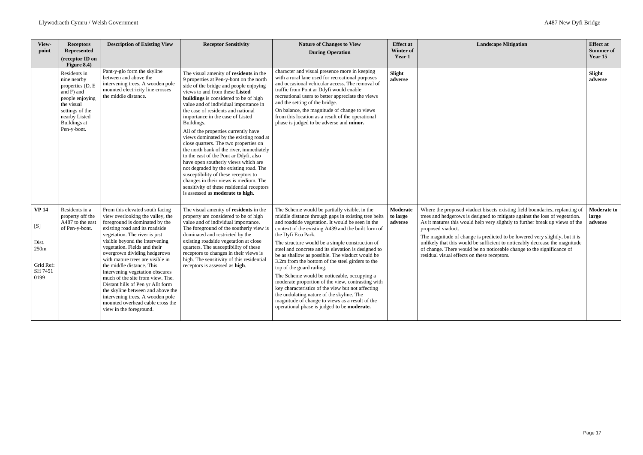| View-<br>point                                                                   | <b>Receptors</b><br>Represented<br>(receptor ID on<br>Figure 8.4)                                                                                                 | <b>Description of Existing View</b>                                                                                                                                                                                                                                                                                                                                                                                                                                                                                                                                                             | <b>Receptor Sensitivity</b>                                                                                                                                                                                                                                                                                                                                                                                                                                                                                                                                                                                                                                                                                                                                                                                          | <b>Nature of Changes to View</b><br><b>During Operation</b>                                                                                                                                                                                                                                                                                                                                                                                                                                                                                                                                                                                                                                                                                                                                | <b>Effect</b> at<br>Winter of<br>Year 1 | <b>Landscape Mitigation</b>                                                                                                                                                                                                                                                                                                                                                                                                                                                                                                                           | <b>Effect at</b><br><b>Summer of</b><br>Year 15 |
|----------------------------------------------------------------------------------|-------------------------------------------------------------------------------------------------------------------------------------------------------------------|-------------------------------------------------------------------------------------------------------------------------------------------------------------------------------------------------------------------------------------------------------------------------------------------------------------------------------------------------------------------------------------------------------------------------------------------------------------------------------------------------------------------------------------------------------------------------------------------------|----------------------------------------------------------------------------------------------------------------------------------------------------------------------------------------------------------------------------------------------------------------------------------------------------------------------------------------------------------------------------------------------------------------------------------------------------------------------------------------------------------------------------------------------------------------------------------------------------------------------------------------------------------------------------------------------------------------------------------------------------------------------------------------------------------------------|--------------------------------------------------------------------------------------------------------------------------------------------------------------------------------------------------------------------------------------------------------------------------------------------------------------------------------------------------------------------------------------------------------------------------------------------------------------------------------------------------------------------------------------------------------------------------------------------------------------------------------------------------------------------------------------------------------------------------------------------------------------------------------------------|-----------------------------------------|-------------------------------------------------------------------------------------------------------------------------------------------------------------------------------------------------------------------------------------------------------------------------------------------------------------------------------------------------------------------------------------------------------------------------------------------------------------------------------------------------------------------------------------------------------|-------------------------------------------------|
|                                                                                  | Residents in<br>nine nearby<br>properties (D, E<br>and F) and<br>people enjoying<br>the visual<br>settings of the<br>nearby Listed<br>Buildings at<br>Pen-y-bont. | Pant-y-glo form the skyline<br>between and above the<br>intervening trees. A wooden pole<br>mounted electricity line crosses<br>the middle distance.                                                                                                                                                                                                                                                                                                                                                                                                                                            | The visual amenity of residents in the<br>9 properties at Pen-y-bont on the north<br>side of the bridge and people enjoying<br>views to and from these Listed<br><b>buildings</b> is considered to be of high<br>value and of individual importance in<br>the case of residents and national<br>importance in the case of Listed<br>Buildings.<br>All of the properties currently have<br>views dominated by the existing road at<br>close quarters. The two properties on<br>the north bank of the river, immediately<br>to the east of the Pont ar Ddyfi, also<br>have open southerly views which are<br>not degraded by the existing road. The<br>susceptibility of these receptors to<br>changes in their views is medium. The<br>sensitivity of these residential receptors<br>is assessed as moderate to high. | character and visual presence more in keeping<br>with a rural lane used for recreational purposes<br>and occasional vehicular access. The removal of<br>traffic from Pont ar Ddyfi would enable<br>recreational users to better appreciate the views<br>and the setting of the bridge.<br>On balance, the magnitude of change to views<br>from this location as a result of the operational<br>phase is judged to be adverse and minor.                                                                                                                                                                                                                                                                                                                                                    | Slight<br>adverse                       |                                                                                                                                                                                                                                                                                                                                                                                                                                                                                                                                                       | Slight<br>adverse                               |
| <b>VP 14</b><br>[S]<br>Dist.<br>250 <sub>m</sub><br>Grid Ref:<br>SH 7451<br>0199 | Residents in a<br>property off the<br>A487 to the east<br>of Pen-y-bont.                                                                                          | From this elevated south facing<br>view overlooking the valley, the<br>foreground is dominated by the<br>existing road and its roadside<br>vegetation. The river is just<br>visible beyond the intervening<br>vegetation. Fields and their<br>overgrown dividing hedgerows<br>with mature trees are visible in<br>the middle distance. This<br>intervening vegetation obscures<br>much of the site from view. The.<br>Distant hills of Pen yr Allt form<br>the skyline between and above the<br>intervening trees. A wooden pole<br>mounted overhead cable cross the<br>view in the foreground. | The visual amenity of residents in the<br>property are considered to be of high<br>value and of individual importance.<br>The foreground of the southerly view is<br>dominated and restricted by the<br>existing roadside vegetation at close<br>quarters. The susceptibility of these<br>receptors to changes in their views is<br>high. The sensitivity of this residential<br>receptors is assessed as high.                                                                                                                                                                                                                                                                                                                                                                                                      | The Scheme would be partially visible, in the<br>middle distance through gaps in existing tree belts<br>and roadside vegetation. It would be seen in the<br>context of the existing A439 and the built form of<br>the Dyfi Eco Park.<br>The structure would be a simple construction of<br>steel and concrete and its elevation is designed to<br>be as shallow as possible. The viaduct would be<br>3.2m from the bottom of the steel girders to the<br>top of the guard railing.<br>The Scheme would be noticeable, occupying a<br>moderate proportion of the view, contrasting with<br>key characteristics of the view but not affecting<br>the undulating nature of the skyline. The<br>magnitude of change to views as a result of the<br>operational phase is judged to be moderate. | Moderate<br>to large<br>adverse         | Where the proposed viaduct bisects existing field boundaries, replanting of<br>trees and hedgerows is designed to mitigate against the loss of vegetation.<br>As it matures this would help very slightly to further break up views of the<br>proposed viaduct.<br>The magnitude of change is predicted to be lowered very slightly, but it is<br>unlikely that this would be sufficient to noticeably decrease the magnitude<br>of change. There would be no noticeable change to the significance of<br>residual visual effects on these receptors. | <b>Moderate to</b><br>large<br>adverse          |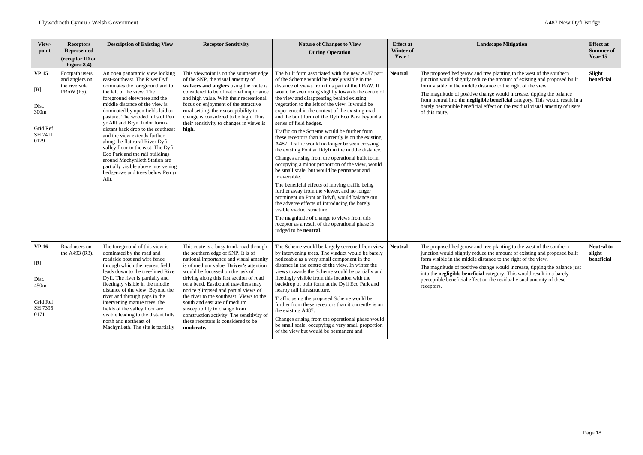| View-<br>point                                                               | <b>Receptors</b><br><b>Represented</b><br>(receptor ID on<br>Figure $8.4$ ) | <b>Description of Existing View</b>                                                                                                                                                                                                                                                                                                                                                                                                                                                                                                                                                                                 | <b>Receptor Sensitivity</b>                                                                                                                                                                                                                                                                                                                                                                                                                                                                                                                   | <b>Nature of Changes to View</b><br><b>During Operation</b>                                                                                                                                                                                                                                                                                                                                                                                                                                                                                                                                                                                                                                                                                                                                                                                                                                                                                                                                                                                                                                                                                                                                    | <b>Effect at</b><br>Winter of<br>Year 1 | <b>Landscape Mitigation</b>                                                                                                                                                                                                                                                                                                                                                                                                                                                | <b>Effect at</b><br><b>Summer of</b><br>Year 15 |
|------------------------------------------------------------------------------|-----------------------------------------------------------------------------|---------------------------------------------------------------------------------------------------------------------------------------------------------------------------------------------------------------------------------------------------------------------------------------------------------------------------------------------------------------------------------------------------------------------------------------------------------------------------------------------------------------------------------------------------------------------------------------------------------------------|-----------------------------------------------------------------------------------------------------------------------------------------------------------------------------------------------------------------------------------------------------------------------------------------------------------------------------------------------------------------------------------------------------------------------------------------------------------------------------------------------------------------------------------------------|------------------------------------------------------------------------------------------------------------------------------------------------------------------------------------------------------------------------------------------------------------------------------------------------------------------------------------------------------------------------------------------------------------------------------------------------------------------------------------------------------------------------------------------------------------------------------------------------------------------------------------------------------------------------------------------------------------------------------------------------------------------------------------------------------------------------------------------------------------------------------------------------------------------------------------------------------------------------------------------------------------------------------------------------------------------------------------------------------------------------------------------------------------------------------------------------|-----------------------------------------|----------------------------------------------------------------------------------------------------------------------------------------------------------------------------------------------------------------------------------------------------------------------------------------------------------------------------------------------------------------------------------------------------------------------------------------------------------------------------|-------------------------------------------------|
| <b>VP 15</b><br>$[{\rm R}]$<br>Dist.<br>300m<br>Grid Ref:<br>SH 7411<br>0179 | Footpath users<br>and anglers on<br>the riverside<br>PRoW (P5).             | An open panoramic view looking<br>east-southeast. The River Dyfi<br>dominates the foreground and to<br>the left of the view. The<br>foreground elsewhere and the<br>middle distance of the view is<br>dominated by open fields laid to<br>pasture. The wooded hills of Pen<br>yr Allt and Bryn Tudor form a<br>distant back drop to the southeast<br>and the view extends further<br>along the flat rural River Dyfi<br>valley floor to the east. The Dyfi<br>Eco Park and the rail buildings<br>around Machynlleth Station are<br>partially visible above intervening<br>hedgerows and trees below Pen yr<br>Allt. | This viewpoint is on the southeast edge<br>of the SNP, the visual amenity of<br>walkers and anglers using the route is<br>considered to be of national importance<br>and high value. With their recreational<br>focus on enjoyment of the attractive<br>rural setting, their susceptibility to<br>change is considered to be high. Thus<br>their sensitivity to changes in views is<br>high.                                                                                                                                                  | The built form associated with the new A487 part<br>of the Scheme would be barely visible in the<br>distance of views from this part of the PRoW. It<br>would be seen rising slightly towards the centre of<br>the view and disappearing behind existing<br>vegetation to the left of the view. It would be<br>experienced in the context of the existing road<br>and the built form of the Dyfi Eco Park beyond a<br>series of field hedges.<br>Traffic on the Scheme would be further from<br>these receptors than it currently is on the existing<br>A487. Traffic would no longer be seen crossing<br>the existing Pont ar Ddyfi in the middle distance.<br>Changes arising from the operational built form,<br>occupying a minor proportion of the view, would<br>be small scale, but would be permanent and<br>irreversible.<br>The beneficial effects of moving traffic being<br>further away from the viewer, and no longer<br>prominent on Pont ar Ddyfi, would balance out<br>the adverse effects of introducing the barely<br>visible viaduct structure.<br>The magnitude of change to views from this<br>receptor as a result of the operational phase is<br>judged to be neutral. | <b>Neutral</b>                          | The proposed hedgerow and tree planting to the west of the southern<br>junction would slightly reduce the amount of existing and proposed built<br>form visible in the middle distance to the right of the view.<br>The magnitude of positive change would increase, tipping the balance<br>from neutral into the negligible beneficial category. This would result in a<br>barely perceptible beneficial effect on the residual visual amenity of users<br>of this route. | Slight<br>beneficial                            |
| <b>VP 16</b><br>[R]<br>Dist.<br>450m<br>Grid Ref:<br>SH 7395<br>0171         | Road users on<br>the A493 (R3).                                             | The foreground of this view is<br>dominated by the road and<br>roadside post and wire fence<br>through which the nearest field<br>leads down to the tree-lined River<br>Dyfi. The river is partially and<br>fleetingly visible in the middle<br>distance of the view. Beyond the<br>river and through gaps in the<br>intervening mature trees, the<br>fields of the valley floor are<br>visible leading to the distant hills<br>north and northeast of<br>Machynlleth. The site is partially                                                                                                                        | This route is a busy trunk road through<br>the southern edge of SNP. It is of<br>national importance and visual amenity<br>is of medium value. Driver's attention<br>would be focussed on the task of<br>driving along this fast section of road<br>on a bend. Eastbound travellers may<br>notice glimpsed and partial views of<br>the river to the southeast. Views to the<br>south and east are of medium<br>susceptibility to change from<br>construction activity. The sensitivity of<br>these receptors is considered to be<br>moderate. | The Scheme would be largely screened from view<br>by intervening trees. The viaduct would be barely<br>noticeable as a very small component in the<br>distance in the centre of the view. In winter the<br>views towards the Scheme would be partially and<br>fleetingly visible from this location with the<br>backdrop of built form at the Dyfi Eco Park and<br>nearby rail infrastructure.<br>Traffic using the proposed Scheme would be<br>further from these receptors than it currently is on<br>the existing A487.<br>Changes arising from the operational phase would<br>be small scale, occupying a very small proportion<br>of the view but would be permanent and                                                                                                                                                                                                                                                                                                                                                                                                                                                                                                                  | <b>Neutral</b>                          | The proposed hedgerow and tree planting to the west of the southern<br>junction would slightly reduce the amount of existing and proposed built<br>form visible in the middle distance to the right of the view.<br>The magnitude of positive change would increase, tipping the balance just<br>into the negligible beneficial category. This would result in a barely<br>perceptible beneficial effect on the residual visual amenity of these<br>receptors.             | <b>Neutral to</b><br>slight<br>beneficial       |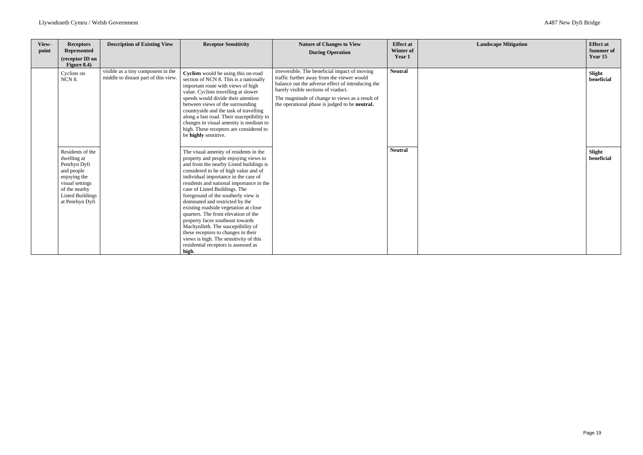| View-<br>point | <b>Receptors</b><br><b>Represented</b><br>(receptor ID on<br>Figure 8.4)                                                                                        | <b>Description of Existing View</b>                                        | <b>Receptor Sensitivity</b>                                                                                                                                                                                                                                                                                                                                                                                                                                                                                                                                                                                                                                     | <b>Nature of Changes to View</b><br><b>During Operation</b>                                                                                                                                                                                                                                  | <b>Effect at</b><br>Winter of<br>Year 1 | <b>Landscape Mitigation</b> | <b>Effect at</b><br><b>Summer of</b><br>Year 15 |
|----------------|-----------------------------------------------------------------------------------------------------------------------------------------------------------------|----------------------------------------------------------------------------|-----------------------------------------------------------------------------------------------------------------------------------------------------------------------------------------------------------------------------------------------------------------------------------------------------------------------------------------------------------------------------------------------------------------------------------------------------------------------------------------------------------------------------------------------------------------------------------------------------------------------------------------------------------------|----------------------------------------------------------------------------------------------------------------------------------------------------------------------------------------------------------------------------------------------------------------------------------------------|-----------------------------------------|-----------------------------|-------------------------------------------------|
|                | Cyclists on<br>NCN 8.                                                                                                                                           | visible as a tiny component in the<br>middle to distant part of this view. | Cyclists would be using this on-road<br>section of NCN 8. This is a nationally<br>important route with views of high<br>value. Cyclists travelling at slower<br>speeds would divide their attention<br>between views of the surrounding<br>countryside and the task of travelling<br>along a fast road. Their susceptibility to<br>changes in visual amenity is medium to<br>high. These receptors are considered to<br>be highly sensitive.                                                                                                                                                                                                                    | irreversible. The beneficial impact of moving<br>traffic further away from the viewer would<br>balance out the adverse effect of introducing the<br>barely visible sections of viaduct.<br>The magnitude of change to views as a result of<br>the operational phase is judged to be neutral. | <b>Neutral</b>                          |                             | Slight<br>beneficial                            |
|                | Residents of the<br>dwelling at<br>Penrhyn Dyfi<br>and people<br>enjoying the<br>visual settings<br>of the nearby<br><b>Listed Buildings</b><br>at Penrhyn Dyfi |                                                                            | The visual amenity of residents in the<br>property and people enjoying views to<br>and from the nearby Listed buildings is<br>considered to be of high value and of<br>individual importance in the case of<br>residents and national importance in the<br>case of Listed Buildings. The<br>foreground of the southerly view is<br>dominated and restricted by the<br>existing roadside vegetation at close<br>quarters. The front elevation of the<br>property faces southeast towards<br>Machynlleth. The susceptibility of<br>these receptors to changes in their<br>views is high. The sensitivity of this<br>residential receptors is assessed as<br>high. |                                                                                                                                                                                                                                                                                              | <b>Neutral</b>                          |                             | Slight<br>beneficial                            |